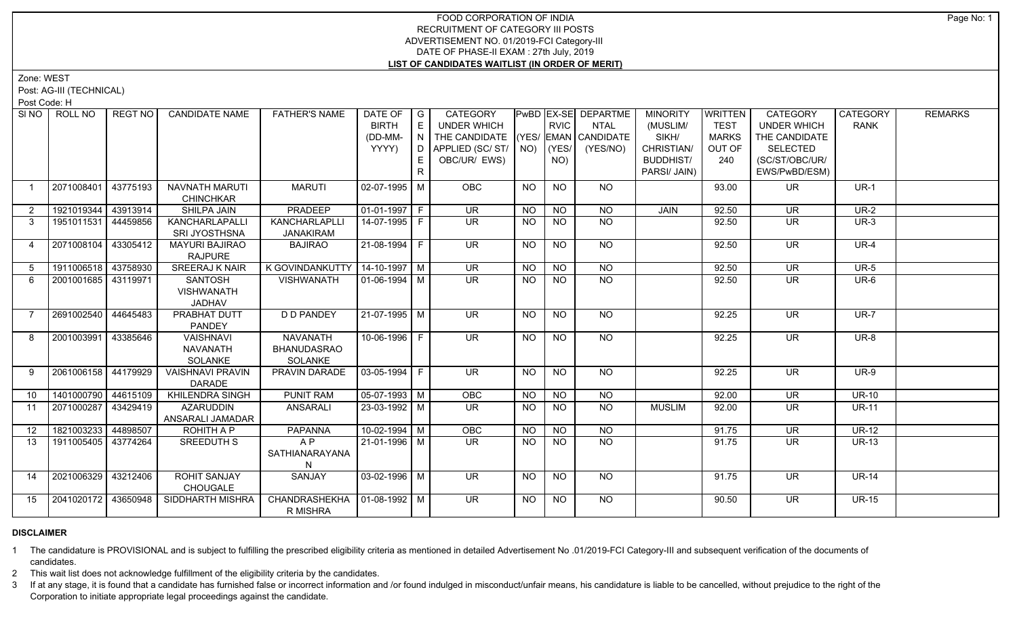Zone: WEST

Post: AG-III (TECHNICAL)

Post Code: H

| SINO           | ROLL NO             | <b>REGT NO</b> | <b>CANDIDATE NAME</b>                   | <b>FATHER'S NAME</b>                       | DATE OF   G           |    | <b>CATEGORY</b>                    |           |             | PwBD EX-SE DEPARTME | <b>MINORITY</b>  | WRITTEN      | CATEGORY                 | <b>CATEGORY</b> | <b>REMARKS</b> |
|----------------|---------------------|----------------|-----------------------------------------|--------------------------------------------|-----------------------|----|------------------------------------|-----------|-------------|---------------------|------------------|--------------|--------------------------|-----------------|----------------|
|                |                     |                |                                         |                                            | <b>BIRTH</b>          | E  | UNDER WHICH                        |           | <b>RVIC</b> | <b>NTAL</b>         | (MUSLIM/         | <b>TEST</b>  | <b>UNDER WHICH</b>       | <b>RANK</b>     |                |
|                |                     |                |                                         |                                            | (DD-MM-               | N  | THE CANDIDATE (YES/ EMAN CANDIDATE |           |             |                     | SIKH/            | <b>MARKS</b> | THE CANDIDATE            |                 |                |
|                |                     |                |                                         |                                            | YYYY)                 |    | $D$ APPLIED (SC/ST/ $\vert$ NO)    |           | (YES/       | (YES/NO)            | CHRISTIAN/       | OUT OF       | <b>SELECTED</b>          |                 |                |
|                |                     |                |                                         |                                            |                       | E. | OBC/UR/ EWS)                       |           | NO)         |                     | <b>BUDDHIST/</b> | 240          | (SC/ST/OBC/UR/           |                 |                |
|                |                     |                |                                         |                                            |                       | R. |                                    |           |             |                     | PARSI/ JAIN)     |              | EWS/PwBD/ESM)            |                 |                |
|                | 2071008401          | 43775193       | NAVNATH MARUTI<br><b>CHINCHKAR</b>      | <b>MARUTI</b>                              | 02-07-1995 M          |    | OBC                                | <b>NO</b> | <b>NO</b>   | NO                  |                  | 93.00        | <b>UR</b>                | $UR-1$          |                |
| 2              | 1921019344          | 43913914       | SHILPA JAIN                             | PRADEEP                                    | $01-01-1997$ F        |    | <b>UR</b>                          | <b>NO</b> | <b>NO</b>   | <b>NO</b>           | <b>JAIN</b>      | 92.50        | <b>UR</b>                | $UR-2$          |                |
| $\mathbf{3}$   | 1951011531 44459856 |                | KANCHARLAPALLI<br>SRI JYOSTHSNA         | KANCHARLAPLL<br><b>JANAKIRAM</b>           | 14-07-1995 F          |    | <b>UR</b>                          | <b>NO</b> | NO.         | <b>NO</b>           |                  | 92.50        | UR.                      | $UR-3$          |                |
| $\overline{4}$ | 2071008104 43305412 |                | <b>MAYURI BAJIRAO</b><br><b>RAJPURE</b> | <b>BAJIRAO</b>                             | $21-08-1994$ F        |    | $\overline{\mathsf{UR}}$           | <b>NO</b> | <b>NO</b>   | $\overline{NO}$     |                  | 92.50        | $\overline{\mathsf{UR}}$ | $UR-4$          |                |
| 5              | 1911006518 43758930 |                | <b>SREERAJ K NAIR</b>                   | K GOVINDANKUTTY   14-10-1997   M           |                       |    | $\overline{\mathsf{UR}}$           | <b>NO</b> | <b>NO</b>   | NO                  |                  | 92.50        | $\overline{\mathsf{UR}}$ | $UR-5$          |                |
| 6              | 2001001685 43119971 |                | <b>SANTOSH</b>                          | <b>VISHWANATH</b>                          | $\sqrt{01-06-1994}$ M |    | $\overline{\mathsf{UR}}$           | <b>NO</b> | NO          | $\overline{NO}$     |                  | 92.50        | $\overline{\mathsf{UR}}$ | $UR-6$          |                |
|                |                     |                | VISHWANATH                              |                                            |                       |    |                                    |           |             |                     |                  |              |                          |                 |                |
|                |                     |                | JADHAV                                  |                                            |                       |    |                                    |           |             |                     |                  |              |                          |                 |                |
| $\overline{7}$ | 2691002540 44645483 |                | <b>PRABHAT DUTT</b>                     | <b>D D PANDEY</b>                          | 21-07-1995 M          |    | UR <sup>1</sup>                    | NO.       | NO          | $N$ <sup>O</sup>    |                  | 92.25        | UR.                      | $UR-7$          |                |
|                |                     |                | PANDEY                                  |                                            |                       |    |                                    |           |             |                     |                  |              |                          |                 |                |
| 8              | 2001003991 43385646 |                | <b>VAISHNAVI</b>                        | <b>NAVANATH</b>                            | 10-06-1996 F          |    | $\overline{\mathsf{UR}}$           | <b>NO</b> | <b>NO</b>   | $\overline{NO}$     |                  | 92.25        | $\overline{\mathsf{UR}}$ | $UR-8$          |                |
|                |                     |                | <b>NAVANATH</b>                         | <b>BHANUDASRAO</b>                         |                       |    |                                    |           |             |                     |                  |              |                          |                 |                |
|                |                     |                | SOLANKE                                 | SOLANKE                                    |                       |    |                                    |           |             |                     |                  |              |                          |                 |                |
| 9              | 2061006158 44179929 |                | <b>VAISHNAVI PRAVIN</b>                 | PRAVIN DARADE                              | 03-05-1994   F        |    | <b>UR</b>                          | <b>NO</b> | <b>NO</b>   | <b>NO</b>           |                  | 92.25        | <b>UR</b>                | $UR-9$          |                |
|                |                     |                | <b>DARADE</b>                           |                                            |                       |    |                                    |           |             |                     |                  |              |                          |                 |                |
| 10             | 1401000790 44615109 |                | <b>KHILENDRA SINGH</b>                  | <b>PUNIT RAM</b>                           | $05-07-1993$ M        |    | OBC                                | <b>NO</b> | <b>NO</b>   | <b>NO</b>           |                  | 92.00        | $\overline{\mathsf{UR}}$ | $UR-10$         |                |
| 11             | 2071000287 43429419 |                | <b>AZARUDDIN</b><br>ANSARALI JAMADAR    | ANSARALI                                   | $23 - 03 - 1992$ M    |    | $\overline{\mathsf{UR}}$           | <b>NO</b> | <b>NO</b>   | $\overline{NO}$     | <b>MUSLIM</b>    | 92.00        | $\overline{\mathsf{UR}}$ | $UR-11$         |                |
| 12             | 1821003233 44898507 |                | ROHITH A P                              | PAPANNA                                    | $10-02-1994$ M        |    | OBC                                | <b>NO</b> | <b>NO</b>   | $N$ O               |                  | 91.75        | $\overline{\mathsf{UR}}$ | $UR-12$         |                |
| 13             | 1911005405 43774264 |                | SREEDUTH S                              | A P                                        | 21-01-1996 M          |    | $\overline{\mathsf{UR}}$           | NO.       | NO          | <b>NO</b>           |                  | 91.75        | <b>UR</b>                | <b>UR-13</b>    |                |
|                |                     |                |                                         | SATHIANARAYANA                             |                       |    |                                    |           |             |                     |                  |              |                          |                 |                |
| 14             | 2021006329          | 43212406       | <b>ROHIT SANJAY</b>                     | SANJAY                                     | 03-02-1996   M        |    | UR.                                | NO.       | NO.         | NO.                 |                  | 91.75        | UR.                      | <b>UR-14</b>    |                |
|                |                     |                | <b>CHOUGALE</b>                         |                                            |                       |    |                                    |           |             |                     |                  |              |                          |                 |                |
| 15             | 2041020172 43650948 |                | SIDDHARTH MISHRA                        | CHANDRASHEKHA   01-08-1992   M<br>R MISHRA |                       |    | $\overline{\mathsf{UR}}$           | NO.       | NO.         | NO.                 |                  | 90.50        | UR.                      | <b>UR-15</b>    |                |

# **DISCLAIMER**

1 The candidature is PROVISIONAL and is subject to fulfilling the prescribed eligibility criteria as mentioned in detailed Advertisement No .01/2019-FCI Category-III and subsequent verification of the documents of candidates.

2 This wait list does not acknowledge fulfillment of the eligibility criteria by the candidates.

3 If at any stage, it is found that a candidate has furnished false or incorrect information and /or found indulged in misconduct/unfair means, his candidature is liable to be cancelled, without prejudice to the right of t Corporation to initiate appropriate legal proceedings against the candidate.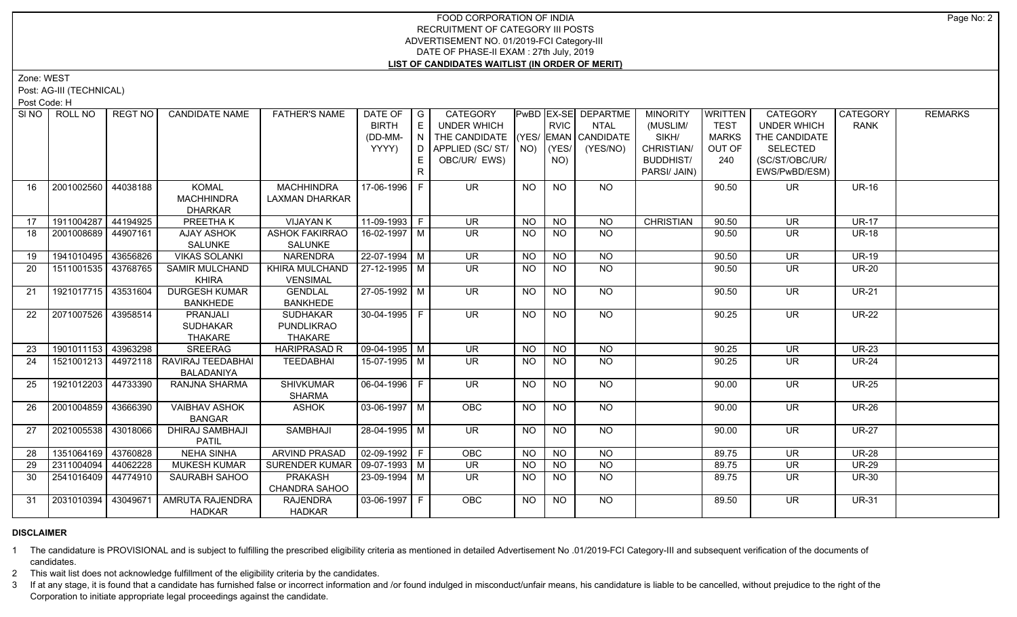Zone: WEST

Post: AG-III (TECHNICAL)

Post Code: H

| SI <sub>NO</sub> | ROLL NO             | <b>REGT NO</b> | <b>CANDIDATE NAME</b>                     | <b>FATHER'S NAME</b>            | DATE OF   G                          |              | <b>CATEGORY</b>                    |                |                | PwBD EX-SE DEPARTME | <b>MINORITY</b>  | WRITTEN      | CATEGORY                 | <b>CATEGORY</b> | <b>REMARKS</b> |
|------------------|---------------------|----------------|-------------------------------------------|---------------------------------|--------------------------------------|--------------|------------------------------------|----------------|----------------|---------------------|------------------|--------------|--------------------------|-----------------|----------------|
|                  |                     |                |                                           |                                 | <b>BIRTH</b>                         | E            | <b>UNDER WHICH</b>                 |                | <b>RVIC</b>    | NTAL                | (MUSLIM/         | <b>TEST</b>  | <b>UNDER WHICH</b>       | <b>RANK</b>     |                |
|                  |                     |                |                                           |                                 | (DD-MM-                              | N            | THE CANDIDATE (YES/ EMAN CANDIDATE |                |                |                     | SIKH/            | <b>MARKS</b> | THE CANDIDATE            |                 |                |
|                  |                     |                |                                           |                                 | YYYY)                                |              | D APPLIED (SC/ ST/ NO)             |                | $ $ (YES/      | (YES/NO)            | CHRISTIAN/       | OUT OF       | <b>SELECTED</b>          |                 |                |
|                  |                     |                |                                           |                                 |                                      | E.           | OBC/UR/ EWS)                       |                | NO)            |                     | <b>BUDDHIST/</b> | 240          | (SC/ST/OBC/UR/           |                 |                |
|                  |                     |                |                                           |                                 |                                      | $\mathsf{R}$ |                                    |                |                |                     | PARSI/ JAIN)     |              | EWS/PwBD/ESM)            |                 |                |
| 16               | 2001002560 44038188 |                | KOMAL                                     | <b>MACHHINDRA</b>               | 17-06-1996 F                         |              | UR.                                | NO.            | NO             | NO                  |                  | 90.50        | UR.                      | <b>UR-16</b>    |                |
|                  |                     |                | <b>MACHHINDRA</b>                         | <b>LAXMAN DHARKAR</b>           |                                      |              |                                    |                |                |                     |                  |              |                          |                 |                |
|                  |                     |                | <b>DHARKAR</b>                            |                                 |                                      |              |                                    |                |                |                     |                  |              |                          |                 |                |
| 17               | 1911004287 44194925 |                | <b>PREETHAK</b>                           | <b>VIJAYAN K</b>                | $11-09-1993$ F                       |              | $\overline{\mathsf{UR}}$           | <b>NO</b>      | $N$ O          | <b>NO</b>           | <b>CHRISTIAN</b> | 90.50        | $\overline{\mathsf{UR}}$ | <b>UR-17</b>    |                |
| 18               | 2001008689 44907161 |                | <b>AJAY ASHOK</b>                         | <b>ASHOK FAKIRRAO</b>           | $16 - 02 - 1997$ M                   |              | $\overline{\mathsf{UR}}$           | NO.            | NO.            | NO.                 |                  | 90.50        | <b>UR</b>                | <b>UR-18</b>    |                |
|                  |                     |                | SALUNKE                                   | SALUNKE                         |                                      |              |                                    |                |                |                     |                  |              |                          |                 |                |
| 19               | 1941010495 43656826 |                | <b>VIKAS SOLANKI</b>                      | <b>NARENDRA</b>                 | $22 - 07 - 1994$ M                   |              | UR                                 | <b>NO</b>      | <b>NO</b>      | $N$ O               |                  | 90.50        | $\overline{\mathsf{UR}}$ | <b>UR-19</b>    |                |
| 20               | 1511001535 43768765 |                | <b>SAMIR MULCHAND</b>                     | KHIRA MULCHAND                  | $27-12-1995$ M                       |              | <b>UR</b>                          | NO             | NO             | $N$ <sup>O</sup>    |                  | 90.50        | $\overline{\mathsf{UR}}$ | <b>UR-20</b>    |                |
|                  |                     |                | <b>KHIRA</b>                              | <b>VENSIMAL</b>                 |                                      |              |                                    |                |                |                     |                  |              |                          |                 |                |
| 21               | 1921017715 43531604 |                | <b>DURGESH KUMAR</b>                      | <b>GENDLAL</b>                  | 27-05-1992 M                         |              | <b>UR</b>                          | <b>NO</b>      | <b>NO</b>      | NO                  |                  | 90.50        | <b>UR</b>                | <b>UR-21</b>    |                |
|                  |                     |                | <b>BANKHEDE</b>                           | <b>BANKHEDE</b>                 |                                      |              |                                    |                |                |                     |                  |              |                          |                 |                |
| 22               | 2071007526 43958514 |                | PRANJALI                                  | <b>SUDHAKAR</b>                 | 30-04-1995 F                         |              | UR <sup>1</sup>                    | NO.            | NO.            | NO                  |                  | 90.25        | <b>UR</b>                | <b>UR-22</b>    |                |
|                  |                     |                | <b>SUDHAKAR</b>                           | <b>PUNDLIKRAO</b>               |                                      |              |                                    |                |                |                     |                  |              |                          |                 |                |
|                  |                     |                | THAKARE                                   | THAKARE                         |                                      |              |                                    |                |                |                     |                  |              |                          |                 |                |
| 23               | 1901011153 43963298 |                | <b>SREERAG</b>                            | <b>HARIPRASAD R</b>             | 09-04-1995   M                       |              | <b>UR</b>                          | <b>NO</b>      | <b>NO</b>      | <b>NO</b>           |                  | 90.25        | <b>UR</b>                | <b>UR-23</b>    |                |
| 24               |                     |                | 1521001213   44972118   RAVIRAJ TEEDABHAI | TEEDABHAI                       | 15-07-1995 M                         |              | <b>UR</b>                          | <b>NO</b>      | <b>NO</b>      | NO                  |                  | 90.25        | UR.                      | <b>UR-24</b>    |                |
|                  |                     |                | <b>BALADANIYA</b>                         |                                 |                                      |              |                                    |                |                |                     |                  |              |                          |                 |                |
| 25               | 1921012203 44733390 |                | RANJNA SHARMA                             | <b>SHIVKUMAR</b>                | $\boxed{06 - 04 - 1996}$ F           |              | $\overline{\mathsf{UR}}$           | <b>NO</b>      | <b>NO</b>      | NO                  |                  | 90.00        | <b>UR</b>                | <b>UR-25</b>    |                |
|                  |                     |                |                                           | <b>SHARMA</b>                   |                                      |              |                                    |                |                |                     |                  |              |                          |                 |                |
| 26               | 2001004859 43666390 |                | <b>VAIBHAV ASHOK</b>                      | <b>ASHOK</b>                    | $\sqrt{03-06-1997}$ M                |              | OBC                                | N <sub>O</sub> | NO             | $N$ <sup>O</sup>    |                  | 90.00        | $\overline{\mathsf{UR}}$ | $UR-26$         |                |
|                  | 2021005538 43018066 |                | <b>BANGAR</b><br><b>DHIRAJ SAMBHAJI</b>   | <b>SAMBHAJI</b>                 | $28 - 04 - 1995$ M                   |              | $\overline{\mathsf{UR}}$           | <b>NO</b>      | N <sub>O</sub> | $N$ <sup>O</sup>    |                  | 90.00        | $\overline{\mathsf{UR}}$ | <b>UR-27</b>    |                |
| 27               |                     |                | <b>PATIL</b>                              |                                 |                                      |              |                                    |                |                |                     |                  |              |                          |                 |                |
| 28               | 1351064169 43760828 |                | <b>NEHA SINHA</b>                         | ARVIND PRASAD                   | $\vert 02 - 09 - 1992 \vert F \vert$ |              | <b>OBC</b>                         | <b>NO</b>      | <b>NO</b>      | NO                  |                  | 89.75        | <b>UR</b>                | <b>UR-28</b>    |                |
|                  | 2311004094 44062228 |                |                                           |                                 |                                      |              |                                    |                |                | $N$ O               |                  |              |                          | <b>UR-29</b>    |                |
| 29               |                     |                | <b>MUKESH KUMAR</b>                       | SURENDER KUMAR   09-07-1993   M |                                      |              | UR                                 | <b>NO</b>      | <b>NO</b>      |                     |                  | 89.75        | <b>UR</b>                |                 |                |
| 30               | 2541016409 44774910 |                | SAURABH SAHOO                             | <b>PRAKASH</b>                  | $23 - 09 - 1994$ M                   |              | $\overline{\mathsf{UR}}$           | <b>NO</b>      | <b>NO</b>      | NO                  |                  | 89.75        | <b>UR</b>                | <b>UR-30</b>    |                |
|                  |                     |                |                                           | CHANDRA SAHOO                   |                                      |              | OBC                                |                |                | NO.                 |                  |              |                          | <b>UR-31</b>    |                |
| 31               | 2031010394 43049671 |                | AMRUTA RAJENDRA                           | <b>RAJENDRA</b>                 | $ 03-06-1997 F$                      |              |                                    | <b>NO</b>      | <b>NO</b>      |                     |                  | 89.50        | <b>UR</b>                |                 |                |
|                  |                     |                | <b>HADKAR</b>                             | <b>HADKAR</b>                   |                                      |              |                                    |                |                |                     |                  |              |                          |                 |                |

# **DISCLAIMER**

1 The candidature is PROVISIONAL and is subject to fulfilling the prescribed eligibility criteria as mentioned in detailed Advertisement No .01/2019-FCI Category-III and subsequent verification of the documents of candidates.

2 This wait list does not acknowledge fulfillment of the eligibility criteria by the candidates.

3 If at any stage, it is found that a candidate has furnished false or incorrect information and /or found indulged in misconduct/unfair means, his candidature is liable to be cancelled, without prejudice to the right of t Corporation to initiate appropriate legal proceedings against the candidate.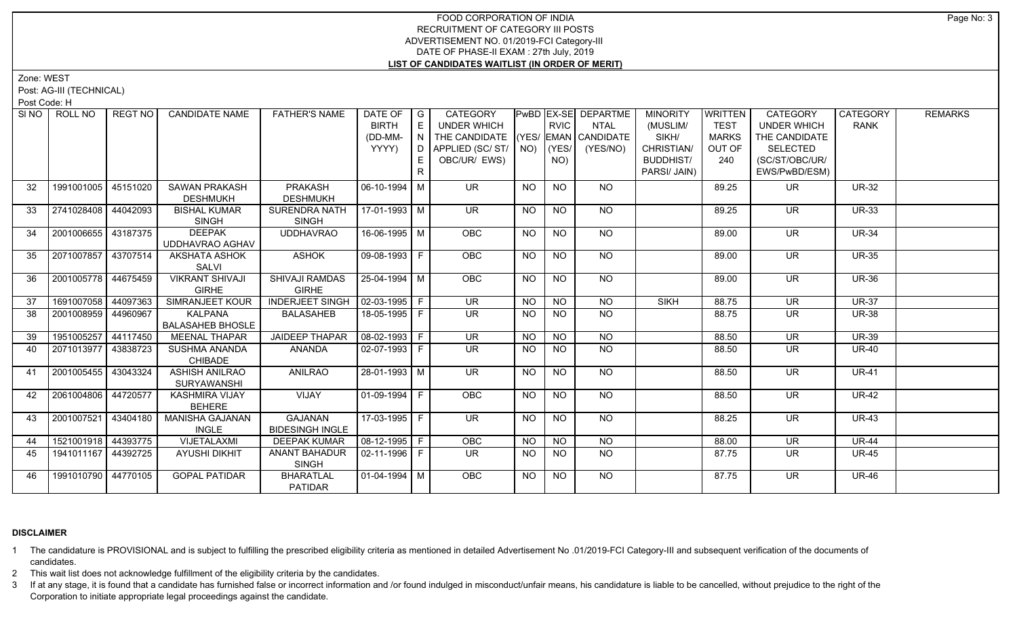Zone: WEST

Post: AG-III (TECHNICAL)

Post Code: H

| SI NO | ROLL NO             | REGT NO I | <b>CANDIDATE NAME</b>         | <b>FATHER'S NAME</b>   | DATE OF              | $\overline{\phantom{a}}$ G | CATEGORY                           |             |                 | PwBD EX-SE DEPARTME | <b>MINORITY</b>  | <b>WRITTEN</b> | <b>CATEGORY</b>          | CATEGORY     | <b>REMARKS</b> |
|-------|---------------------|-----------|-------------------------------|------------------------|----------------------|----------------------------|------------------------------------|-------------|-----------------|---------------------|------------------|----------------|--------------------------|--------------|----------------|
|       |                     |           |                               |                        | <b>BIRTH</b>         | $\mathsf E$                | <b>UNDER WHICH</b>                 |             | <b>RVIC</b>     | <b>NTAL</b>         | (MUSLIM/         | <b>TEST</b>    | <b>UNDER WHICH</b>       | <b>RANK</b>  |                |
|       |                     |           |                               |                        | (DD-MM-              | N.                         | THE CANDIDATE (YES/ EMAN CANDIDATE |             |                 |                     | SIKH/            | <b>MARKS</b>   | THE CANDIDATE            |              |                |
|       |                     |           |                               |                        | YYYY)                | D                          | APPLIED (SC/ST/                    | $NO)$ (YES/ |                 | (YES/NO)            | CHRISTIAN/       | OUT OF         | SELECTED                 |              |                |
|       |                     |           |                               |                        |                      | E.                         | OBC/UR/ EWS)                       |             | NO)             |                     | <b>BUDDHIST/</b> | 240            | (SC/ST/OBC/UR/           |              |                |
|       |                     |           |                               |                        |                      |                            |                                    |             |                 |                     | PARSI/ JAIN)     |                | EWS/PwBD/ESM)            |              |                |
| 32    | 1991001005 45151020 |           | <b>SAWAN PRAKASH</b>          | <b>PRAKASH</b>         | $06-10-1994$ M       |                            | <b>UR</b>                          | <b>NO</b>   | <b>NO</b>       | <b>NO</b>           |                  | 89.25          | <b>UR</b>                | <b>UR-32</b> |                |
|       |                     |           | <b>DESHMUKH</b>               | <b>DESHMUKH</b>        |                      |                            |                                    |             |                 |                     |                  |                |                          |              |                |
| 33    | 2741028408          | 44042093  | <b>BISHAL KUMAR</b>           | SURENDRA NATH          | $17-01-1993$ M       |                            | $\overline{\mathsf{UR}}$           | <b>NO</b>   | <b>NO</b>       | <b>NO</b>           |                  | 89.25          | <b>UR</b>                | <b>UR-33</b> |                |
|       |                     |           | <b>SINGH</b>                  | <b>SINGH</b>           |                      |                            |                                    |             |                 |                     |                  |                |                          |              |                |
| 34    | 2001006655 43187375 |           | <b>DEEPAK</b>                 | <b>UDDHAVRAO</b>       | 16-06-1995   M       |                            | OBC                                | <b>NO</b>   | $\overline{NQ}$ | $N$ <sup>O</sup>    |                  | 89.00          | $\overline{\mathsf{UR}}$ | <b>UR-34</b> |                |
|       |                     |           | UDDHAVRAO AGHAV               |                        |                      |                            |                                    |             |                 |                     |                  |                |                          |              |                |
| 35    | 2071007857          | 43707514  | <b>AKSHATA ASHOK</b>          | <b>ASHOK</b>           | $09-08-1993$ F       |                            | <b>OBC</b>                         | NO          | <b>NO</b>       | $N$ <sup>O</sup>    |                  | 89.00          | <b>UR</b>                | <b>UR-35</b> |                |
|       |                     |           | SALVI                         |                        |                      |                            |                                    |             |                 |                     |                  |                |                          |              |                |
| 36    | 2001005778 44675459 |           | <b>VIKRANT SHIVAJI</b>        | <b>SHIVAJI RAMDAS</b>  | 25-04-1994 M         |                            | OBC                                | NO          | N <sub>O</sub>  | $N$ <sup>O</sup>    |                  | 89.00          | $\overline{\mathsf{UR}}$ | <b>UR-36</b> |                |
|       |                     |           | <b>GIRHE</b>                  | <b>GIRHE</b>           |                      |                            |                                    |             |                 |                     |                  |                |                          |              |                |
| 37    | 1691007058          | 44097363  | <b>SIMRANJEET KOUR</b>        | <b>INDERJEET SINGH</b> | $02-03-1995$ F       |                            | UR                                 | <b>NO</b>   | <b>NO</b>       | $N$ O               | <b>SIKH</b>      | 88.75          | <b>UR</b>                | <b>UR-37</b> |                |
| 38    | 2001008959 44960967 |           | <b>KALPANA</b>                | <b>BALASAHEB</b>       | 18-05-1995 F         |                            | <b>UR</b>                          | <b>NO</b>   | <b>NO</b>       | <b>NO</b>           |                  | 88.75          | <b>UR</b>                | <b>UR-38</b> |                |
|       |                     |           | <b>BALASAHEB BHOSLE</b>       |                        |                      |                            |                                    |             |                 |                     |                  |                |                          |              |                |
| 39    | 1951005257          | 44117450  | <b>MEENAL THAPAR</b>          | <b>JAIDEEP THAPAR</b>  | $08-02-1993$ F       |                            | <b>UR</b>                          | <b>NO</b>   | <b>NO</b>       | <b>NO</b>           |                  | 88.50          | <b>UR</b>                | <b>UR-39</b> |                |
| 40    | 2071013977 43838723 |           | SUSHMA ANANDA                 | ANANDA                 | 02-07-1993 F         |                            | <b>UR</b>                          | <b>NO</b>   | <b>NO</b>       | <b>NO</b>           |                  | 88.50          | <b>UR</b>                | <b>UR-40</b> |                |
|       |                     |           | <b>CHIBADE</b>                |                        |                      |                            |                                    |             |                 |                     |                  |                |                          |              |                |
| 41    | 2001005455 43043324 |           | ASHISH ANILRAO                | <b>ANILRAO</b>         | 28-01-1993 M         |                            | UR.                                | NO          | <b>NO</b>       | NO                  |                  | 88.50          | <b>UR</b>                | <b>UR-41</b> |                |
| 42    | 2061004806 44720577 |           | SURYAWANSHI<br>KASHMIRA VIJAY | VIJAY                  | 01-09-1994 F         |                            | OBC                                | <b>NO</b>   | <b>NO</b>       | NO                  |                  | 88.50          | <b>UR</b>                | <b>UR-42</b> |                |
|       |                     |           | <b>BEHERE</b>                 |                        |                      |                            |                                    |             |                 |                     |                  |                |                          |              |                |
| 43    | 2001007521          | 43404180  | MANISHA GAJANAN               | <b>GAJANAN</b>         | 17-03-1995   F       |                            | <b>UR</b>                          | <b>NO</b>   | <b>NO</b>       | NO                  |                  | 88.25          | <b>UR</b>                | <b>UR-43</b> |                |
|       |                     |           | <b>INGLE</b>                  | <b>BIDESINGH INGLE</b> |                      |                            |                                    |             |                 |                     |                  |                |                          |              |                |
| 44    | 1521001918 44393775 |           | VIJETALAXMI                   | <b>DEEPAK KUMAR</b>    | $08-12-1995$ F       |                            | OBC                                | NO          | <b>NO</b>       | $N$ O               |                  | 88.00          | <b>UR</b>                | <b>UR-44</b> |                |
| 45    | 1941011167 44392725 |           | <b>AYUSHI DIKHIT</b>          | ANANT BAHADUR          | $02 - 11 - 1996$   F |                            | UR.                                | NO.         | <b>NO</b>       | $N$ O               |                  | 87.75          | <b>UR</b>                | <b>UR-45</b> |                |
|       |                     |           |                               | <b>SINGH</b>           |                      |                            |                                    |             |                 |                     |                  |                |                          |              |                |
| 46    | 1991010790 44770105 |           | <b>GOPAL PATIDAR</b>          | <b>BHARATLAL</b>       | $01-04-1994$ M       |                            | <b>OBC</b>                         | <b>NO</b>   | <b>NO</b>       | NO                  |                  | 87.75          | <b>UR</b>                | <b>UR-46</b> |                |
|       |                     |           |                               | <b>PATIDAR</b>         |                      |                            |                                    |             |                 |                     |                  |                |                          |              |                |

# **DISCLAIMER**

1 The candidature is PROVISIONAL and is subject to fulfilling the prescribed eligibility criteria as mentioned in detailed Advertisement No .01/2019-FCI Category-III and subsequent verification of the documents of candidates.

2 This wait list does not acknowledge fulfillment of the eligibility criteria by the candidates.

3 If at any stage, it is found that a candidate has furnished false or incorrect information and /or found indulged in misconduct/unfair means, his candidature is liable to be cancelled, without prejudice to the right of t Corporation to initiate appropriate legal proceedings against the candidate.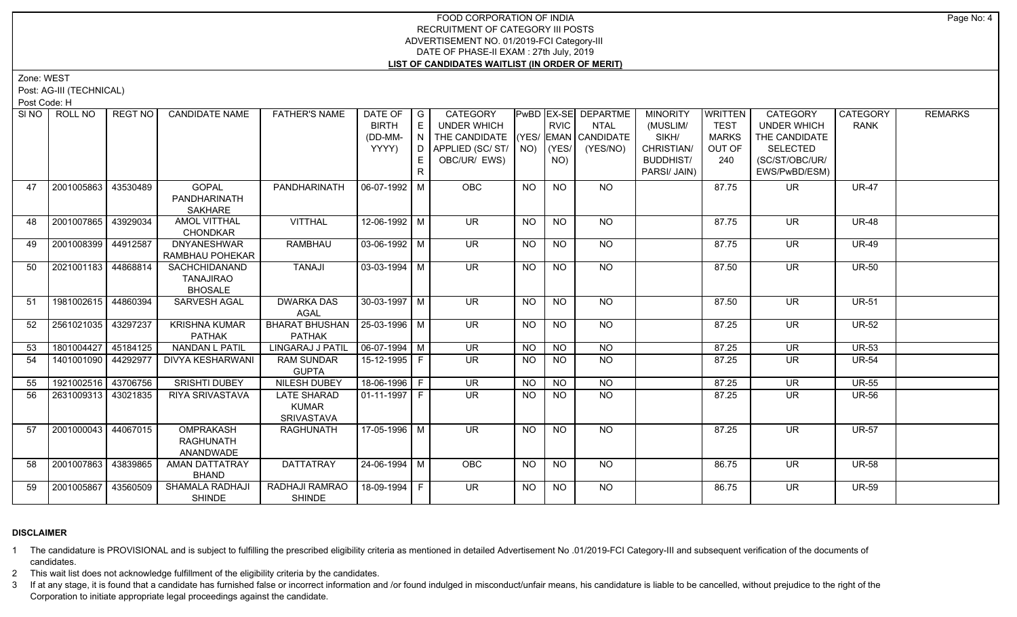Zone: WEST

Post: AG-III (TECHNICAL)

Post Code: H

| SI NO 1 | ROLL NO             | REGT NO  | <b>CANDIDATE NAME</b>   | <b>FATHER'S NAME</b>            | DATE OF                    | $\overline{\phantom{a}}$ G | CATEGORY                           |           |                                          | PwBD EX-SE DEPARTME | <b>MINORITY</b>  | <b>WRITTEN</b> | CATEGORY                 | <b>CATEGORY</b> | <b>REMARKS</b> |
|---------|---------------------|----------|-------------------------|---------------------------------|----------------------------|----------------------------|------------------------------------|-----------|------------------------------------------|---------------------|------------------|----------------|--------------------------|-----------------|----------------|
|         |                     |          |                         |                                 | <b>BIRTH</b>               | E                          | UNDER WHICH                        |           | <b>RVIC</b>                              | <b>NTAL</b>         | (MUSLIM/         | <b>TEST</b>    | <b>UNDER WHICH</b>       | <b>RANK</b>     |                |
|         |                     |          |                         |                                 | (DD-MM-                    |                            | THE CANDIDATE (YES/ EMAN CANDIDATE |           |                                          |                     | SIKH/            | <b>MARKS</b>   | THE CANDIDATE            |                 |                |
|         |                     |          |                         |                                 | YYYY)                      |                            | D   APPLIED (SC/ ST/   NO)         |           | (YES/                                    | (YES/NO)            | CHRISTIAN/       | OUT OF         | <b>SELECTED</b>          |                 |                |
|         |                     |          |                         |                                 |                            |                            | OBC/UR/ EWS)                       |           | NO)                                      |                     | <b>BUDDHIST/</b> | 240            | (SC/ST/OBC/UR/           |                 |                |
|         |                     |          |                         |                                 |                            | R.                         |                                    |           |                                          |                     | PARSI/ JAIN)     |                | EWS/PwBD/ESM)            |                 |                |
| 47      | 2001005863          | 43530489 | <b>GOPAL</b>            | PANDHARINATH                    | $ 06-07-1992 M$            |                            | <b>OBC</b>                         | <b>NO</b> | <b>NO</b>                                | NO                  |                  | 87.75          | <b>UR</b>                | <b>UR-47</b>    |                |
|         |                     |          | PANDHARINATH            |                                 |                            |                            |                                    |           |                                          |                     |                  |                |                          |                 |                |
|         |                     |          | SAKHARE                 |                                 |                            |                            |                                    |           |                                          |                     |                  |                |                          |                 |                |
| 48      | 2001007865          | 43929034 | <b>AMOL VITTHAL</b>     | <b>VITTHAL</b>                  | $12-06-1992$ M             |                            | UR                                 | <b>NO</b> | $N$ <sup><math>\overline{O}</math></sup> | NO                  |                  | 87.75          | <b>UR</b>                | <b>UR-48</b>    |                |
|         |                     |          | <b>CHONDKAR</b>         |                                 |                            |                            |                                    |           |                                          |                     |                  |                |                          |                 |                |
| 49      | 2001008399 44912587 |          | <b>DNYANESHWAR</b>      | <b>RAMBHAU</b>                  | $03 - 06 - 1992$ M         |                            | <b>UR</b>                          | <b>NO</b> | <b>NO</b>                                | NO                  |                  | 87.75          | <b>UR</b>                | <b>UR-49</b>    |                |
|         |                     |          | RAMBHAU POHEKAR         |                                 |                            |                            |                                    |           |                                          |                     |                  |                |                          |                 |                |
| 50      | 2021001183 44868814 |          | SACHCHIDANAND           | TANAJI                          | $03-03-1994$ M             |                            | <b>UR</b>                          | <b>NO</b> | <b>NO</b>                                | <b>NO</b>           |                  | 87.50          | <b>UR</b>                | <b>UR-50</b>    |                |
|         |                     |          | <b>TANAJIRAO</b>        |                                 |                            |                            |                                    |           |                                          |                     |                  |                |                          |                 |                |
|         |                     |          | <b>BHOSALE</b>          |                                 |                            |                            |                                    |           |                                          |                     |                  |                |                          |                 |                |
| 51      | 1981002615 44860394 |          | SARVESH AGAL            | <b>DWARKA DAS</b>               | 30-03-1997 M               |                            | $\overline{\mathsf{UR}}$           | <b>NO</b> | NO                                       | NO.                 |                  | 87.50          | UR                       | <b>UR-51</b>    |                |
|         |                     |          |                         | AGAL                            |                            |                            |                                    |           |                                          |                     |                  |                |                          |                 |                |
| 52      | 2561021035 43297237 |          | <b>KRISHNA KUMAR</b>    | BHARAT BHUSHAN   25-03-1996   M |                            |                            | <b>UR</b>                          | <b>NO</b> | <b>NO</b>                                | <b>NO</b>           |                  | 87.25          | <b>UR</b>                | <b>UR-52</b>    |                |
|         |                     |          | <b>PATHAK</b>           | <b>PATHAK</b>                   |                            |                            |                                    |           |                                          |                     |                  |                |                          |                 |                |
| 53      | 1801004427 45184125 |          | <b>NANDAN L PATIL</b>   | LINGARAJ J PATIL                | $\mid$ 06-07-1994 $\mid$ M |                            | <b>UR</b>                          | <b>NO</b> | <b>NO</b>                                | <b>NO</b>           |                  | 87.25          | <b>UR</b>                | <b>UR-53</b>    |                |
| 54      | 1401001090 44292977 |          | <b>DIVYA KESHARWANI</b> | <b>RAM SUNDAR</b>               | 15-12-1995 F               |                            | $\overline{\mathsf{UR}}$           | <b>NO</b> | <b>NO</b>                                | $\overline{NO}$     |                  | 87.25          | $\overline{\mathsf{UR}}$ | <b>UR-54</b>    |                |
|         |                     |          |                         | <b>GUPTA</b>                    |                            |                            |                                    |           |                                          |                     |                  |                |                          |                 |                |
| 55      | 1921002516 43706756 |          | <b>SRISHTI DUBEY</b>    | <b>NILESH DUBEY</b>             | 18-06-1996   F             |                            | $\overline{\mathsf{UR}}$           | <b>NO</b> | N <sub>O</sub>                           | N <sub>O</sub>      |                  | 87.25          | $\overline{\mathsf{UR}}$ | $UR-55$         |                |
| 56      | 2631009313 43021835 |          | <b>RIYA SRIVASTAVA</b>  | <b>LATE SHARAD</b>              | $01-11-1997$ F             |                            | UR.                                | NO.       | <b>NO</b>                                | <b>NO</b>           |                  | 87.25          | <b>UR</b>                | <b>UR-56</b>    |                |
|         |                     |          |                         | <b>KUMAR</b>                    |                            |                            |                                    |           |                                          |                     |                  |                |                          |                 |                |
|         |                     |          |                         | <b>SRIVASTAVA</b>               |                            |                            |                                    |           |                                          |                     |                  |                |                          |                 |                |
| 57      | 2001000043 44067015 |          | <b>OMPRAKASH</b>        | <b>RAGHUNATH</b>                | 17-05-1996 M               |                            | UR.                                | <b>NO</b> | NO                                       | NO                  |                  | 87.25          | $\overline{\mathsf{UR}}$ | <b>UR-57</b>    |                |
|         |                     |          | <b>RAGHUNATH</b>        |                                 |                            |                            |                                    |           |                                          |                     |                  |                |                          |                 |                |
|         |                     |          | ANANDWADE               |                                 |                            |                            |                                    |           |                                          |                     |                  |                |                          |                 |                |
| 58      | 2001007863 43839865 |          | AMAN DATTATRAY          | <b>DATTATRAY</b>                | 24-06-1994   M             |                            | OBC                                | <b>NO</b> | NO                                       | NO                  |                  | 86.75          | <b>UR</b>                | <b>UR-58</b>    |                |
|         |                     |          | <b>BHAND</b>            |                                 |                            |                            |                                    |           |                                          |                     |                  |                |                          |                 |                |
| 59      | 2001005867          | 43560509 | SHAMALA RADHAJI         | RADHAJI RAMRAO                  | 18-09-1994 F               |                            | <b>UR</b>                          | NO        | <b>NO</b>                                | NO                  |                  | 86.75          | <b>UR</b>                | <b>UR-59</b>    |                |
|         |                     |          | <b>SHINDE</b>           | <b>SHINDE</b>                   |                            |                            |                                    |           |                                          |                     |                  |                |                          |                 |                |

# **DISCLAIMER**

1 The candidature is PROVISIONAL and is subject to fulfilling the prescribed eligibility criteria as mentioned in detailed Advertisement No .01/2019-FCI Category-III and subsequent verification of the documents of candidates.

2 This wait list does not acknowledge fulfillment of the eligibility criteria by the candidates.

3 If at any stage, it is found that a candidate has furnished false or incorrect information and /or found indulged in misconduct/unfair means, his candidature is liable to be cancelled, without prejudice to the right of t Corporation to initiate appropriate legal proceedings against the candidate.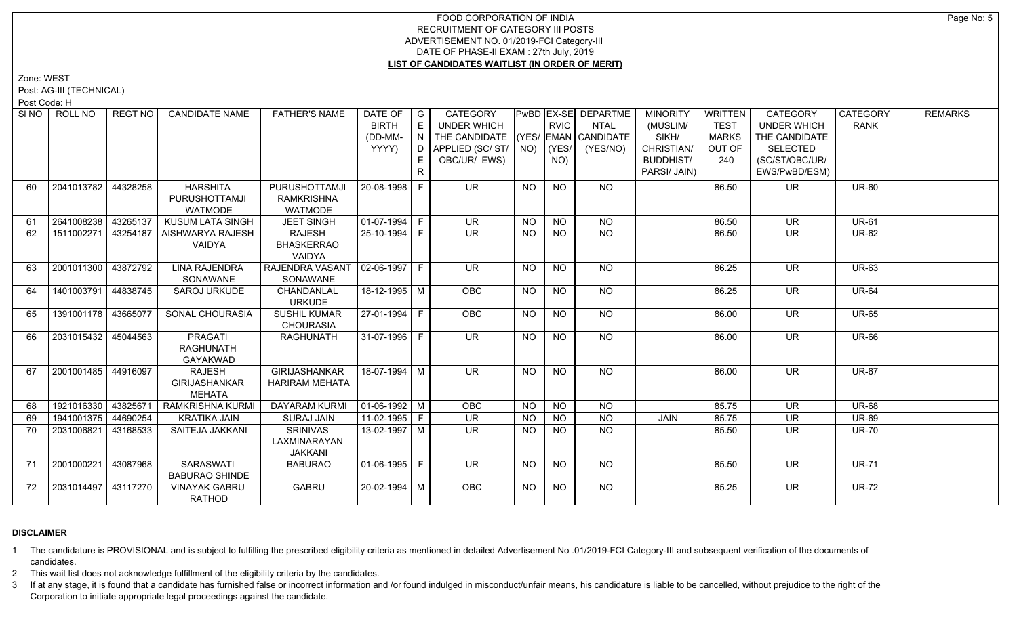Zone: WEST

Post: AG-III (TECHNICAL)

Post Code: H

|    | SINO   ROLL NO        | REGT NO  | <b>CANDIDATE NAME</b>   | <b>FATHER'S NAME</b>             | DATE OF                | G   | CATEGORY                           |                                          |                | PwBD EX-SE DEPARTME | <b>MINORITY</b>  | <b>WRITTEN</b> | CATEGORY                 | <b>CATEGORY</b> | <b>REMARKS</b> |
|----|-----------------------|----------|-------------------------|----------------------------------|------------------------|-----|------------------------------------|------------------------------------------|----------------|---------------------|------------------|----------------|--------------------------|-----------------|----------------|
|    |                       |          |                         |                                  | <b>BIRTH</b>           |     | <b>UNDER WHICH</b>                 |                                          | <b>RVIC</b>    | <b>NTAL</b>         | (MUSLIM/         | <b>TEST</b>    | <b>UNDER WHICH</b>       | <b>RANK</b>     |                |
|    |                       |          |                         |                                  | (DD-MM-                | N I | THE CANDIDATE (YES/ EMAN CANDIDATE |                                          |                |                     | SIKH/            | <b>MARKS</b>   | THE CANDIDATE            |                 |                |
|    |                       |          |                         |                                  | YYYY)                  | D   | APPLIED (SC/ST/                    | NO)                                      | (YES/          | (YES/NO)            | CHRISTIAN/       | OUT OF         | <b>SELECTED</b>          |                 |                |
|    |                       |          |                         |                                  |                        |     | OBC/UR/ EWS)                       |                                          | NO)            |                     | <b>BUDDHIST/</b> | 240            | (SC/ST/OBC/UR/           |                 |                |
|    |                       |          |                         |                                  |                        | R.  |                                    |                                          |                |                     | PARSI/ JAIN)     |                | EWS/PwBD/ESM)            |                 |                |
| 60 | 2041013782   44328258 |          | <b>HARSHITA</b>         | PURUSHOTTAMJI                    | 20-08-1998 F           |     | <b>UR</b>                          | <b>NO</b>                                | <b>NO</b>      | NO                  |                  | 86.50          | <b>UR</b>                | <b>UR-60</b>    |                |
|    |                       |          | PURUSHOTTAMJI           | <b>RAMKRISHNA</b>                |                        |     |                                    |                                          |                |                     |                  |                |                          |                 |                |
|    |                       |          | <b>WATMODE</b>          | WATMODE                          |                        |     |                                    |                                          |                |                     |                  |                |                          |                 |                |
| 61 | 2641008238            | 43265137 | KUSUM LATA SINGH        | <b>JEET SINGH</b>                | $\boxed{01-07-1994}$ F |     | $\overline{\mathsf{UR}}$           | $N$ <sup><math>\overline{O}</math></sup> | N <sub>O</sub> | N <sub>O</sub>      |                  | 86.50          | <b>UR</b>                | <b>UR-61</b>    |                |
| 62 | 1511002271            | 43254187 | <b>AISHWARYA RAJESH</b> | <b>RAJESH</b>                    | 25-10-1994 F           |     | $\overline{\mathsf{UR}}$           | NO.                                      | <b>NO</b>      | N <sub>O</sub>      |                  | 86.50          | <b>UR</b>                | <b>UR-62</b>    |                |
|    |                       |          | <b>VAIDYA</b>           | <b>BHASKERRAO</b>                |                        |     |                                    |                                          |                |                     |                  |                |                          |                 |                |
|    |                       |          |                         | VAIDYA                           |                        |     |                                    |                                          |                |                     |                  |                |                          |                 |                |
| 63 | 2001011300            | 43872792 | <b>LINA RAJENDRA</b>    | RAJENDRA VASANT   02-06-1997   F |                        |     | $\overline{\mathsf{UR}}$           | <b>NO</b>                                | N <sub>O</sub> | N <sub>O</sub>      |                  | 86.25          | <b>UR</b>                | <b>UR-63</b>    |                |
|    |                       |          | SONAWANE                | SONAWANE                         |                        |     |                                    |                                          |                |                     |                  |                |                          |                 |                |
| 64 | 1401003791            | 44838745 | <b>SAROJ URKUDE</b>     | CHANDANLAL                       | 18-12-1995 M           |     | <b>OBC</b>                         | <b>NO</b>                                | <b>NO</b>      | NO                  |                  | 86.25          | <b>UR</b>                | <b>UR-64</b>    |                |
|    |                       |          |                         | <b>URKUDE</b>                    |                        |     |                                    |                                          |                |                     |                  |                |                          |                 |                |
| 65 | 1391001178 43665077   |          | SONAL CHOURASIA         | <b>SUSHIL KUMAR</b>              | 27-01-1994 F           |     | OBC                                | <b>NO</b>                                | N <sub>O</sub> | N <sub>O</sub>      |                  | 86.00          | $\overline{\mathsf{UR}}$ | <b>UR-65</b>    |                |
|    |                       |          |                         | <b>CHOURASIA</b>                 |                        |     |                                    |                                          |                |                     |                  |                |                          |                 |                |
| 66 | 2031015432            | 45044563 | <b>PRAGATI</b>          | <b>RAGHUNATH</b>                 | 31-07-1996 F           |     | <b>UR</b>                          | <b>NO</b>                                | <b>NO</b>      | <b>NO</b>           |                  | 86.00          | <b>UR</b>                | <b>UR-66</b>    |                |
|    |                       |          | <b>RAGHUNATH</b>        |                                  |                        |     |                                    |                                          |                |                     |                  |                |                          |                 |                |
|    |                       |          | GAYAKWAD                |                                  |                        |     |                                    |                                          |                |                     |                  |                |                          |                 |                |
| 67 | 2001001485 44916097   |          | <b>RAJESH</b>           | <b>GIRIJASHANKAR</b>             | 18-07-1994 M           |     | <b>UR</b>                          | <b>NO</b>                                | <b>NO</b>      | NO                  |                  | 86.00          | UR.                      | <b>UR-67</b>    |                |
|    |                       |          | <b>GIRIJASHANKAR</b>    | <b>HARIRAM MEHATA</b>            |                        |     |                                    |                                          |                |                     |                  |                |                          |                 |                |
|    |                       |          | <b>MEHATA</b>           |                                  |                        |     |                                    |                                          |                |                     |                  |                |                          |                 |                |
| 68 | 1921016330 43825671   |          | <b>RAMKRISHNA KURMI</b> | <b>DAYARAM KURMI</b>             | $\sqrt{01-06-1992}$ M  |     | OBC                                | NO                                       | $N$ O          | N <sub>O</sub>      |                  | 85.75          | <b>UR</b>                | <b>UR-68</b>    |                |
| 69 | 1941001375            | 44690254 | <b>KRATIKA JAIN</b>     | <b>SURAJ JAIN</b>                | $11-02-1995$ F         |     | $\overline{\mathsf{UR}}$           | N <sub>O</sub>                           | $N$ O          | N <sub>O</sub>      | <b>JAIN</b>      | 85.75          | $\overline{\mathsf{UR}}$ | <b>UR-69</b>    |                |
| 70 | 2031006821            | 43168533 | SAITEJA JAKKANI         | <b>SRINIVAS</b>                  | $13-02-1997$ M         |     | $\overline{\mathsf{UR}}$           | NO.                                      | <b>NO</b>      | N <sub>O</sub>      |                  | 85.50          | <b>UR</b>                | <b>UR-70</b>    |                |
|    |                       |          |                         | LAXMINARAYAN                     |                        |     |                                    |                                          |                |                     |                  |                |                          |                 |                |
|    |                       |          |                         | <b>JAKKANI</b>                   |                        |     |                                    |                                          |                |                     |                  |                |                          |                 |                |
| 71 | 2001000221            | 43087968 | <b>SARASWATI</b>        | <b>BABURAO</b>                   | $01-06-1995$ F         |     | $\overline{\mathsf{UR}}$           | $\overline{NO}$                          | N <sub>O</sub> | $N$ O               |                  | 85.50          | UR.                      | <b>UR-71</b>    |                |
|    |                       |          | <b>BABURAO SHINDE</b>   |                                  |                        |     |                                    |                                          |                |                     |                  |                |                          |                 |                |
| 72 | 2031014497 43117270   |          | <b>VINAYAK GABRU</b>    | <b>GABRU</b>                     | 20-02-1994 M           |     | <b>OBC</b>                         | <b>NO</b>                                | <b>NO</b>      | NO                  |                  | 85.25          | <b>UR</b>                | <b>UR-72</b>    |                |
|    |                       |          | RATHOD                  |                                  |                        |     |                                    |                                          |                |                     |                  |                |                          |                 |                |

# **DISCLAIMER**

1 The candidature is PROVISIONAL and is subject to fulfilling the prescribed eligibility criteria as mentioned in detailed Advertisement No .01/2019-FCI Category-III and subsequent verification of the documents of candidates.

2 This wait list does not acknowledge fulfillment of the eligibility criteria by the candidates.

3 If at any stage, it is found that a candidate has furnished false or incorrect information and /or found indulged in misconduct/unfair means, his candidature is liable to be cancelled, without prejudice to the right of t Corporation to initiate appropriate legal proceedings against the candidate.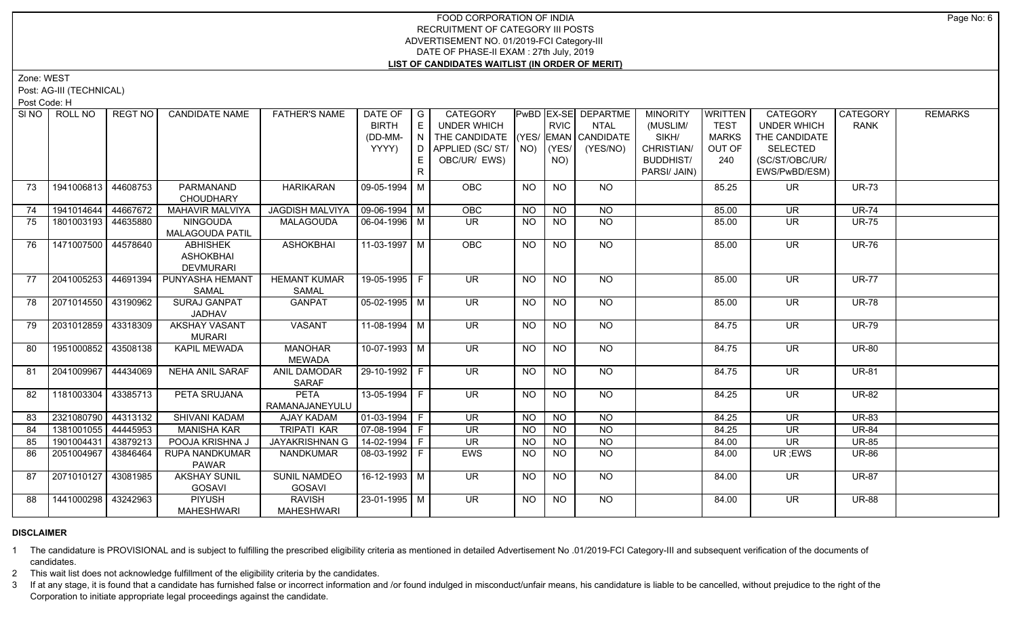Zone: WEST

Post: AG-III (TECHNICAL)

Post Code: H

| SI <sub>NO</sub> | ROLL NO             | <b>REGT NO</b> | <b>CANDIDATE NAME</b>                            | <b>FATHER'S NAME</b>                 | DATE OF   G<br><b>BIRTH</b>  | E  | <b>CATEGORY</b><br>UNDER WHICH     |                 | <b>RVIC</b>     | PwBD EX-SE DEPARTME<br><b>NTAL</b> | <b>MINORITY</b><br>(MUSLIM/ | WRITTEN<br><b>TEST</b> | CATEGORY<br><b>UNDER WHICH</b> | CATEGORY<br><b>RANK</b> | <b>REMARKS</b> |
|------------------|---------------------|----------------|--------------------------------------------------|--------------------------------------|------------------------------|----|------------------------------------|-----------------|-----------------|------------------------------------|-----------------------------|------------------------|--------------------------------|-------------------------|----------------|
|                  |                     |                |                                                  |                                      | (DD-MM-                      | N  | THE CANDIDATE (YES/ EMAN CANDIDATE |                 |                 |                                    | SIKH/                       | <b>MARKS</b>           | THE CANDIDATE                  |                         |                |
|                  |                     |                |                                                  |                                      | YYYY)                        |    | $D$ APPLIED (SC/ST/ $\vert$ NO)    |                 | (YES/           | (YES/NO)                           | CHRISTIAN/                  | OUT OF                 | <b>SELECTED</b>                |                         |                |
|                  |                     |                |                                                  |                                      |                              | E. | OBC/UR/ EWS)                       |                 | NO)             |                                    | <b>BUDDHIST/</b>            | 240                    | (SC/ST/OBC/UR/                 |                         |                |
|                  |                     |                |                                                  |                                      |                              | R. |                                    |                 |                 |                                    | PARSI/ JAIN)                |                        | EWS/PwBD/ESM)                  |                         |                |
| 73               | 1941006813          | 44608753       | PARMANAND<br><b>CHOUDHARY</b>                    | <b>HARIKARAN</b>                     | 09-05-1994   M               |    | OBC                                | <b>NO</b>       | <b>NO</b>       | NO                                 |                             | 85.25                  | <b>UR</b>                      | <b>UR-73</b>            |                |
| 74               | 1941014644          | 44667672       | <b>MAHAVIR MALVIYA</b>                           | <b>JAGDISH MALVIYA</b>               | $\vert$ 09-06-1994 $\vert$ M |    | OBC                                | <b>NO</b>       | <b>NO</b>       | <b>NO</b>                          |                             | 85.00                  | <b>UR</b>                      | <b>UR-74</b>            |                |
| 75               | 1801003193 44635880 |                | <b>NINGOUDA</b><br>MALAGOUDA PATIL               | <b>MALAGOUDA</b>                     | 06-04-1996 M                 |    | <b>UR</b>                          | NO.             | NO.             | <b>NO</b>                          |                             | 85.00                  | <b>UR</b>                      | <b>UR-75</b>            |                |
| 76               | 1471007500 44578640 |                | <b>ABHISHEK</b><br>ASHOKBHAI<br><b>DEVMURARI</b> | <b>ASHOKBHAI</b>                     | $11-03-1997$ M               |    | OBC                                | <b>NO</b>       | $\overline{NQ}$ | $\overline{NO}$                    |                             | 85.00                  | $\overline{\mathsf{UR}}$       | <b>UR-76</b>            |                |
| 77               | 2041005253          | 44691394       | PUNYASHA HEMANT<br>SAMAL                         | <b>HEMANT KUMAR</b><br><b>SAMAL</b>  | 19-05-1995 F                 |    | <b>UR</b>                          | <b>NO</b>       | <b>NO</b>       | NO                                 |                             | 85.00                  | <b>UR</b>                      | <b>UR-77</b>            |                |
| 78               | 2071014550 43190962 |                | <b>SURAJ GANPAT</b><br><b>JADHAV</b>             | <b>GANPAT</b>                        | 05-02-1995 M                 |    | $\overline{\mathsf{UR}}$           | <b>NO</b>       | $\overline{NQ}$ | $N$ <sup>O</sup>                   |                             | 85.00                  | $\overline{\mathsf{UR}}$       | $UR-78$                 |                |
| 79               | 2031012859 43318309 |                | <b>AKSHAY VASANT</b><br><b>MURARI</b>            | <b>VASANT</b>                        | $11-08-1994$ M               |    | UR                                 | <b>NO</b>       | <b>NO</b>       | $N$ <sup>O</sup>                   |                             | 84.75                  | $\overline{\mathsf{UR}}$       | <b>UR-79</b>            |                |
| 80               | 1951000852 43508138 |                | <b>KAPIL MEWADA</b>                              | <b>MANOHAR</b><br><b>MEWADA</b>      | $10-07-1993$ M               |    | $\overline{\mathsf{UR}}$           | NO.             | NO.             | NO                                 |                             | 84.75                  | <b>UR</b>                      | <b>UR-80</b>            |                |
| 81               | 2041009967 44434069 |                | <b>NEHA ANIL SARAF</b>                           | ANIL DAMODAR<br><b>SARAF</b>         | 29-10-1992 F                 |    | UR.                                | NO.             | NO.             | NO.                                |                             | 84.75                  | UR                             | <b>UR-81</b>            |                |
| 82               | 1181003304          | 43385713       | PETA SRUJANA                                     | <b>PETA</b><br>RAMANAJANEYULU        | 13-05-1994 F                 |    | <b>UR</b>                          | <b>NO</b>       | <b>NO</b>       | NO                                 |                             | 84.25                  | <b>UR</b>                      | <b>UR-82</b>            |                |
| 83               | 2321080790 44313132 |                | SHIVANI KADAM                                    | <b>AJAY KADAM</b>                    | 01-03-1994 F                 |    | $\overline{\mathsf{UR}}$           | $\overline{NO}$ | N <sub>O</sub>  | $\overline{NQ}$                    |                             | 84.25                  | $\overline{\mathsf{UR}}$       | <b>UR-83</b>            |                |
| 84               | 1381001055 44445953 |                | <b>MANISHA KAR</b>                               | <b>TRIPATI KAR</b>                   | 07-08-1994 F                 |    | <b>UR</b>                          | <b>NO</b>       | <b>NO</b>       | <b>NO</b>                          |                             | 84.25                  | UR.                            | <b>UR-84</b>            |                |
| 85               | 1901004431 43879213 |                | POOJA KRISHNA J                                  | JAYAKRISHNAN G                       | $14 - 02 - 1994$ F           |    | $\overline{\mathsf{UR}}$           | <b>NO</b>       | <b>NO</b>       | N <sub>O</sub>                     |                             | 84.00                  | $\overline{\mathsf{UR}}$       | <b>UR-85</b>            |                |
| 86               | 2051004967          | 43846464       | <b>RUPA NANDKUMAR</b><br><b>PAWAR</b>            | <b>NANDKUMAR</b>                     | 08-03-1992 F                 |    | EWS                                | NO              | NO              | $\overline{NO}$                    |                             | 84.00                  | UR ;EWS                        | <b>UR-86</b>            |                |
| 87               | 2071010127 43081985 |                | <b>AKSHAY SUNIL</b><br><b>GOSAVI</b>             | <b>SUNIL NAMDEO</b><br><b>GOSAVI</b> | 16-12-1993   M               |    | UR.                                | NO.             | NO.             | NO.                                |                             | 84.00                  | UR.                            | <b>UR-87</b>            |                |
| 88               | 1441000298          | 43242963       | <b>PIYUSH</b><br><b>MAHESHWARI</b>               | <b>RAVISH</b><br><b>MAHESHWARI</b>   | $23 - 01 - 1995$ M           |    | $\overline{\mathsf{UR}}$           | NO              | NO.             | $N$ O                              |                             | 84.00                  | UR.                            | <b>UR-88</b>            |                |

# **DISCLAIMER**

1 The candidature is PROVISIONAL and is subject to fulfilling the prescribed eligibility criteria as mentioned in detailed Advertisement No .01/2019-FCI Category-III and subsequent verification of the documents of candidates.

2 This wait list does not acknowledge fulfillment of the eligibility criteria by the candidates.

3 If at any stage, it is found that a candidate has furnished false or incorrect information and /or found indulged in misconduct/unfair means, his candidature is liable to be cancelled, without prejudice to the right of t Corporation to initiate appropriate legal proceedings against the candidate.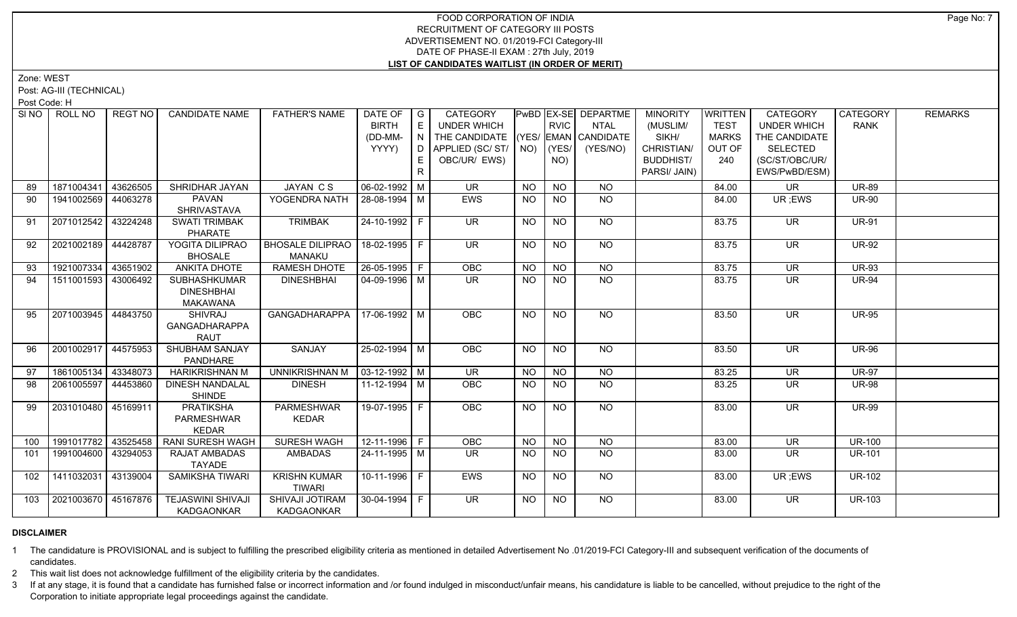Zone: WEST

Post: AG-III (TECHNICAL)

Post Code: H

| SI NO 1 | ROLL NO             | REGT NO  | <b>CANDIDATE NAME</b>    | <b>FATHER'S NAME</b>           | DATE OF               | $\overline{G}$ | CATEGORY                           |           |                 | PwBD EX-SE DEPARTME | <b>MINORITY</b>  | <b>WRITTEN</b> | CATEGORY                 | CATEGORY      | <b>REMARKS</b> |
|---------|---------------------|----------|--------------------------|--------------------------------|-----------------------|----------------|------------------------------------|-----------|-----------------|---------------------|------------------|----------------|--------------------------|---------------|----------------|
|         |                     |          |                          |                                | <b>BIRTH</b>          | E              | <b>UNDER WHICH</b>                 |           | <b>RVIC</b>     | <b>NTAL</b>         | (MUSLIM/         | <b>TEST</b>    | <b>UNDER WHICH</b>       | RANK          |                |
|         |                     |          |                          |                                | (DD-MM-               | IN.            | THE CANDIDATE (YES/ EMAN CANDIDATE |           |                 |                     | SIKH/            | <b>MARKS</b>   | THE CANDIDATE            |               |                |
|         |                     |          |                          |                                | YYYY)                 | D.             | APPLIED (SC/ST/   NO)              |           | (YES/           | (YES/NO)            | CHRISTIAN/       | OUT OF         | <b>SELECTED</b>          |               |                |
|         |                     |          |                          |                                |                       | E              | OBC/UR/ EWS)                       |           | NO)             |                     | <b>BUDDHIST/</b> | 240            | (SC/ST/OBC/UR/           |               |                |
|         |                     |          |                          |                                |                       | R.             |                                    |           |                 |                     | PARSI/ JAIN)     |                | EWS/PwBD/ESM)            |               |                |
| 89      | 1871004341          | 43626505 | SHRIDHAR JAYAN           | JAYAN CS                       | $06 - 02 - 1992$ M    |                | <b>UR</b>                          | <b>NO</b> | <b>NO</b>       | NO                  |                  | 84.00          | <b>UR</b>                | <b>UR-89</b>  |                |
| 90      | 1941002569          | 44063278 | <b>PAVAN</b>             | YOGENDRA NATH                  | 28-08-1994 M          |                | <b>EWS</b>                         | <b>NO</b> | NO              | NO.                 |                  | 84.00          | UR ;EWS                  | <b>UR-90</b>  |                |
|         |                     |          | <b>SHRIVASTAVA</b>       |                                |                       |                |                                    |           |                 |                     |                  |                |                          |               |                |
| 91      | 2071012542          | 43224248 | <b>SWATI TRIMBAK</b>     | <b>TRIMBAK</b>                 | 24-10-1992 F          |                | UR.                                | <b>NO</b> | <b>NO</b>       | NO                  |                  | 83.75          | <b>UR</b>                | <b>UR-91</b>  |                |
|         |                     |          | PHARATE                  |                                |                       |                |                                    |           |                 |                     |                  |                |                          |               |                |
| 92      | 2021002189 44428787 |          | YOGITA DILIPRAO          | <b>BHOSALE DILIPRAO</b>        | $18-02-1995$ F        |                | UR.                                | <b>NO</b> | NO.             | NO.                 |                  | 83.75          | <b>UR</b>                | <b>UR-92</b>  |                |
|         |                     |          | <b>BHOSALE</b>           | <b>MANAKU</b>                  |                       |                |                                    |           |                 |                     |                  |                |                          |               |                |
| 93      | 1921007334          | 43651902 | <b>ANKITA DHOTE</b>      | RAMESH DHOTE                   | $26 - 05 - 1995$ F    |                | OBC                                | <b>NO</b> | N <sub>O</sub>  | NO                  |                  | 83.75          | <b>UR</b>                | <b>UR-93</b>  |                |
| 94      | 1511001593          | 43006492 | <b>SUBHASHKUMAR</b>      | <b>DINESHBHAI</b>              | 04-09-1996   M        |                | <b>UR</b>                          | <b>NO</b> | NO              | $\overline{NO}$     |                  | 83.75          | <b>UR</b>                | <b>UR-94</b>  |                |
|         |                     |          | <b>DINESHBHAI</b>        |                                |                       |                |                                    |           |                 |                     |                  |                |                          |               |                |
|         |                     |          | <b>MAKAWANA</b>          |                                |                       |                |                                    |           |                 |                     |                  |                |                          |               |                |
| 95      | 2071003945 44843750 |          | SHIVRAJ                  | GANGADHARAPPA   17-06-1992   M |                       |                | <b>OBC</b>                         | NO.       | NO.             | NO.                 |                  | 83.50          | UR.                      | <b>UR-95</b>  |                |
|         |                     |          | <b>GANGADHARAPPA</b>     |                                |                       |                |                                    |           |                 |                     |                  |                |                          |               |                |
|         |                     |          | RAUT                     |                                |                       |                |                                    |           |                 |                     |                  |                |                          |               |                |
| 96      | 2001002917 44575953 |          | SHUBHAM SANJAY           | SANJAY                         | 25-02-1994 M          |                | <b>OBC</b>                         | <b>NO</b> | <b>NO</b>       | <b>NO</b>           |                  | 83.50          | <b>UR</b>                | <b>UR-96</b>  |                |
|         |                     |          | <b>PANDHARE</b>          |                                |                       |                |                                    |           |                 |                     |                  |                |                          |               |                |
| 97      | 1861005134          | 43348073 | <b>HARIKRISHNAN M</b>    | <b>UNNIKRISHNAN M</b>          | $\sqrt{03-12-1992}$ M |                | <b>UR</b>                          | <b>NO</b> | $\overline{NO}$ | <b>NO</b>           |                  | 83.25          | <b>UR</b>                | <b>UR-97</b>  |                |
| 98      | 2061005597 44453860 |          | <b>DINESH NANDALAL</b>   | <b>DINESH</b>                  | 11-12-1994 LM         |                | <b>OBC</b>                         | <b>NO</b> | NO              | NO.                 |                  | 83.25          | <b>UR</b>                | <b>UR-98</b>  |                |
|         |                     |          | <b>SHINDE</b>            |                                |                       |                |                                    |           |                 |                     |                  |                |                          |               |                |
| 99      | 2031010480          | 45169911 | <b>PRATIKSHA</b>         | <b>PARMESHWAR</b>              | 19-07-1995 F          |                | OBC                                | <b>NO</b> | $\overline{NO}$ | $N$ <sup>O</sup>    |                  | 83.00          | $\overline{\mathsf{UR}}$ | <b>UR-99</b>  |                |
|         |                     |          | PARMESHWAR               | <b>KEDAR</b>                   |                       |                |                                    |           |                 |                     |                  |                |                          |               |                |
|         |                     |          | <b>KEDAR</b>             |                                |                       |                |                                    |           |                 |                     |                  |                |                          |               |                |
| 100     | 1991017782 43525458 |          | <b>RANI SURESH WAGH</b>  | <b>SURESH WAGH</b>             | $12 - 11 - 1996$ F    |                | OBC                                | <b>NO</b> | $\overline{NO}$ | <b>NO</b>           |                  | 83.00          | <b>UR</b>                | <b>UR-100</b> |                |
| 101     | 1991004600          | 43294053 | RAJAT AMBADAS            | AMBADAS                        | 24-11-1995   M        |                | UR.                                | <b>NO</b> | <b>NO</b>       | NO                  |                  | 83.00          | <b>UR</b>                | <b>UR-101</b> |                |
|         |                     |          | <b>TAYADE</b>            |                                |                       |                |                                    |           |                 |                     |                  |                |                          |               |                |
| 102     | 1411032031 43139004 |          | <b>SAMIKSHA TIWARI</b>   | <b>KRISHN KUMAR</b>            | $10 - 11 - 1996$ F    |                | <b>EWS</b>                         | NO.       | NO.             | NO.                 |                  | 83.00          | UR; EWS                  | <b>UR-102</b> |                |
|         |                     |          |                          | <b>TIWARI</b>                  |                       |                |                                    |           |                 |                     |                  |                |                          |               |                |
| 103     | 2021003670 45167876 |          | <b>TEJASWINI SHIVAJI</b> | SHIVAJI JOTIRAM                | 30-04-1994   F        |                | <b>UR</b>                          | NO.       | NO.             | NO.                 |                  | 83.00          | UR.                      | <b>UR-103</b> |                |
|         |                     |          | <b>KADGAONKAR</b>        | KADGAONKAR                     |                       |                |                                    |           |                 |                     |                  |                |                          |               |                |

# **DISCLAIMER**

1 The candidature is PROVISIONAL and is subject to fulfilling the prescribed eligibility criteria as mentioned in detailed Advertisement No .01/2019-FCI Category-III and subsequent verification of the documents of candidates.

2 This wait list does not acknowledge fulfillment of the eligibility criteria by the candidates.

3 If at any stage, it is found that a candidate has furnished false or incorrect information and /or found indulged in misconduct/unfair means, his candidature is liable to be cancelled, without prejudice to the right of t Corporation to initiate appropriate legal proceedings against the candidate.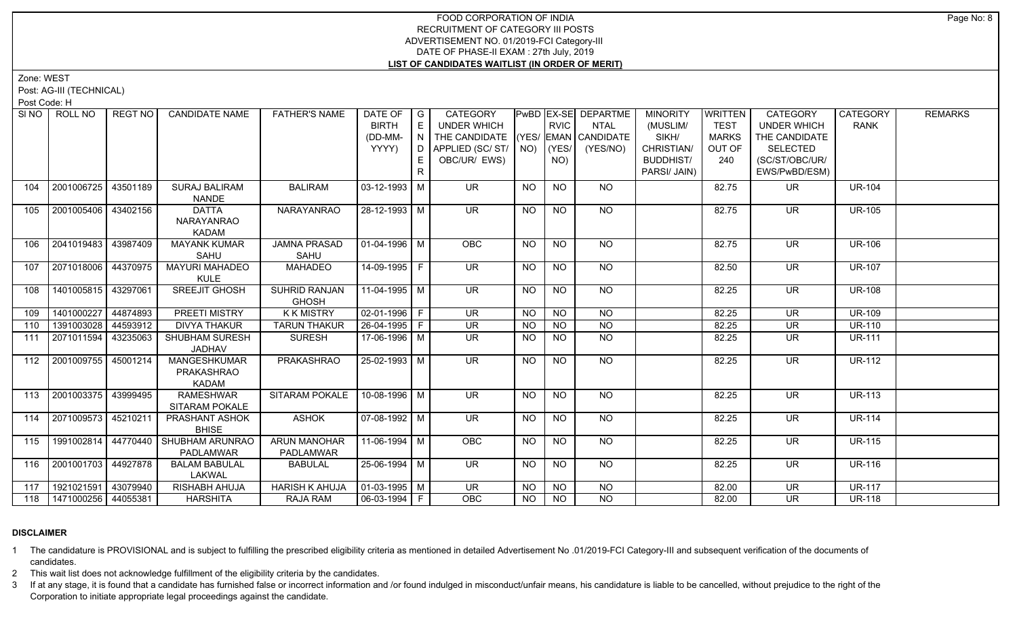Zone: WEST

Post: AG-III (TECHNICAL)

Post Code: H

| SI NO I | ROLL NO               | REGT NO  | <b>CANDIDATE NAME</b>                             | <b>FATHER'S NAME</b>                    | DATE OF G<br><b>BIRTH</b><br>(DD-MM-<br>YYYY) | E<br>E | CATEGORY<br><b>UNDER WHICH</b><br>THE CANDIDATE (YES/ EMAN CANDIDATE<br>OBC/UR/ EWS) |           | <b>RVIC</b><br>NO) | PwBD EX-SE DEPARTME<br><b>NTAL</b><br>(YES/NO) | <b>MINORITY</b><br>(MUSLIM/<br>SIKH/<br>CHRISTIAN/<br><b>BUDDHIST/</b><br>PARSI/ JAIN) | WRITTEN<br><b>TEST</b><br><b>MARKS</b><br>OUT OF<br>240 | CATEGORY<br><b>UNDER WHICH</b><br>THE CANDIDATE<br><b>SELECTED</b><br>(SC/ST/OBC/UR/<br>EWS/PwBD/ESM) | <b>CATEGORY</b><br><b>RANK</b> | <b>REMARKS</b> |
|---------|-----------------------|----------|---------------------------------------------------|-----------------------------------------|-----------------------------------------------|--------|--------------------------------------------------------------------------------------|-----------|--------------------|------------------------------------------------|----------------------------------------------------------------------------------------|---------------------------------------------------------|-------------------------------------------------------------------------------------------------------|--------------------------------|----------------|
| 104     | 2001006725            | 43501189 | <b>SURAJ BALIRAM</b><br><b>NANDE</b>              | <b>BALIRAM</b>                          | $03 - 12 - 1993$ M                            |        | <b>UR</b>                                                                            | <b>NO</b> | <b>NO</b>          | NO.                                            |                                                                                        | 82.75                                                   | UR.                                                                                                   | <b>UR-104</b>                  |                |
| 105     | 2001005406            | 43402156 | <b>DATTA</b><br><b>NARAYANRAO</b><br><b>KADAM</b> | <b>NARAYANRAO</b>                       | 28-12-1993 M                                  |        | <b>UR</b>                                                                            | <b>NO</b> | <b>NO</b>          | <b>NO</b>                                      |                                                                                        | 82.75                                                   | <b>UR</b>                                                                                             | <b>UR-105</b>                  |                |
| 106     | 2041019483            | 43987409 | <b>MAYANK KUMAR</b><br>SAHU                       | <b>JAMNA PRASAD</b><br>SAHU             | 01-04-1996 M                                  |        | <b>OBC</b>                                                                           | <b>NO</b> | N <sub>O</sub>     | NO                                             |                                                                                        | 82.75                                                   | $\overline{\mathsf{UR}}$                                                                              | <b>UR-106</b>                  |                |
| 107     | 2071018006 44370975   |          | <b>MAYURI MAHADEO</b><br><b>KULE</b>              | <b>MAHADEO</b>                          | $14-09-1995$ F                                |        | <b>UR</b>                                                                            | <b>NO</b> | <b>NO</b>          | <b>NO</b>                                      |                                                                                        | 82.50                                                   | <b>UR</b>                                                                                             | <b>UR-107</b>                  |                |
| 108     | 1401005815 43297061   |          | SREEJIT GHOSH                                     | <b>SUHRID RANJAN</b><br><b>GHOSH</b>    | 11-04-1995   M                                |        | <b>UR</b>                                                                            | <b>NO</b> | <b>NO</b>          | NO                                             |                                                                                        | 82.25                                                   | <b>UR</b>                                                                                             | <b>UR-108</b>                  |                |
| 109     | 1401000227 44874893   |          | <b>PREETI MISTRY</b>                              | <b>KKMISTRY</b>                         | $02-01-1996$ F                                |        | $\overline{\mathsf{UR}}$                                                             | <b>NO</b> | N <sub>O</sub>     | $\overline{NO}$                                |                                                                                        | 82.25                                                   | $\overline{\mathsf{UR}}$                                                                              | <b>UR-109</b>                  |                |
| 110     | 1391003028 44593912   |          | <b>DIVYA THAKUR</b>                               | <b>TARUN THAKUR</b>                     | $26 - 04 - 1995$ F                            |        | <b>UR</b>                                                                            | <b>NO</b> | <b>NO</b>          | <b>NO</b>                                      |                                                                                        | 82.25                                                   | <b>UR</b>                                                                                             | <b>UR-110</b>                  |                |
| 111     | 2071011594            | 43235063 | <b>SHUBHAM SURESH</b><br><b>JADHAV</b>            | <b>SURESH</b>                           | 17-06-1996 M                                  |        | <b>UR</b>                                                                            | NO.       | <b>NO</b>          | $\overline{NO}$                                |                                                                                        | 82.25                                                   | <b>UR</b>                                                                                             | <b>UR-111</b>                  |                |
| 112     | 2001009755            | 45001214 | <b>MANGESHKUMAR</b><br>PRAKASHRAO<br><b>KADAM</b> | <b>PRAKASHRAO</b>                       | $25 - 02 - 1993$ M                            |        | $\overline{\mathsf{UR}}$                                                             | <b>NO</b> | $N$ O              | NO                                             |                                                                                        | 82.25                                                   | $\overline{\mathsf{UR}}$                                                                              | <b>UR-112</b>                  |                |
| 113     | 2001003375 43999495   |          | <b>RAMESHWAR</b><br><b>SITARAM POKALE</b>         | SITARAM POKALE                          | 10-08-1996 M                                  |        | $\overline{\mathsf{UR}}$                                                             | <b>NO</b> | $\overline{NO}$    | $N$ <sup>O</sup>                               |                                                                                        | 82.25                                                   | <b>UR</b>                                                                                             | <b>UR-113</b>                  |                |
| 114     | 2071009573            | 45210211 | PRASHANT ASHOK<br><b>BHISE</b>                    | <b>ASHOK</b>                            | $\boxed{07-08-1992}$ M                        |        | $\overline{\mathsf{UR}}$                                                             | <b>NO</b> | $N$ O              | NO                                             |                                                                                        | 82.25                                                   | <b>UR</b>                                                                                             | <b>UR-114</b>                  |                |
| 115     | 1991002814            | 44770440 | SHUBHAM ARUNRAO<br>PADLAMWAR                      | <b>ARUN MANOHAR</b><br><b>PADLAMWAR</b> | 11-06-1994   M                                |        | OBC                                                                                  | <b>NO</b> | <b>NO</b>          | NO                                             |                                                                                        | 82.25                                                   | <b>UR</b>                                                                                             | <b>UR-115</b>                  |                |
| 116     | 2001001703 44927878   |          | <b>BALAM BABULAL</b><br>LAKWAL                    | <b>BABULAL</b>                          | 25-06-1994 M                                  |        | <b>UR</b>                                                                            | <b>NO</b> | <b>NO</b>          | <b>NO</b>                                      |                                                                                        | 82.25                                                   | <b>UR</b>                                                                                             | <b>UR-116</b>                  |                |
| 117     | 1921021591 43079940   |          | RISHABH AHUJA                                     | <b>HARISH K AHUJA</b>                   | $\boxed{01-03-1995}$ M                        |        | <b>UR</b>                                                                            | <b>NO</b> | <b>NO</b>          | <b>NO</b>                                      |                                                                                        | 82.00                                                   | <b>UR</b>                                                                                             | <b>UR-117</b>                  |                |
| 118     | 1471000256   44055381 |          | <b>HARSHITA</b>                                   | RAJA RAM                                | 06-03-1994 F                                  |        | OBC                                                                                  | <b>NO</b> | <b>NO</b>          | <b>NO</b>                                      |                                                                                        | 82.00                                                   | <b>UR</b>                                                                                             | <b>UR-118</b>                  |                |

# **DISCLAIMER**

1 The candidature is PROVISIONAL and is subject to fulfilling the prescribed eligibility criteria as mentioned in detailed Advertisement No .01/2019-FCI Category-III and subsequent verification of the documents of candidates.

2 This wait list does not acknowledge fulfillment of the eligibility criteria by the candidates.

3 If at any stage, it is found that a candidate has furnished false or incorrect information and /or found indulged in misconduct/unfair means, his candidature is liable to be cancelled, without prejudice to the right of t Corporation to initiate appropriate legal proceedings against the candidate.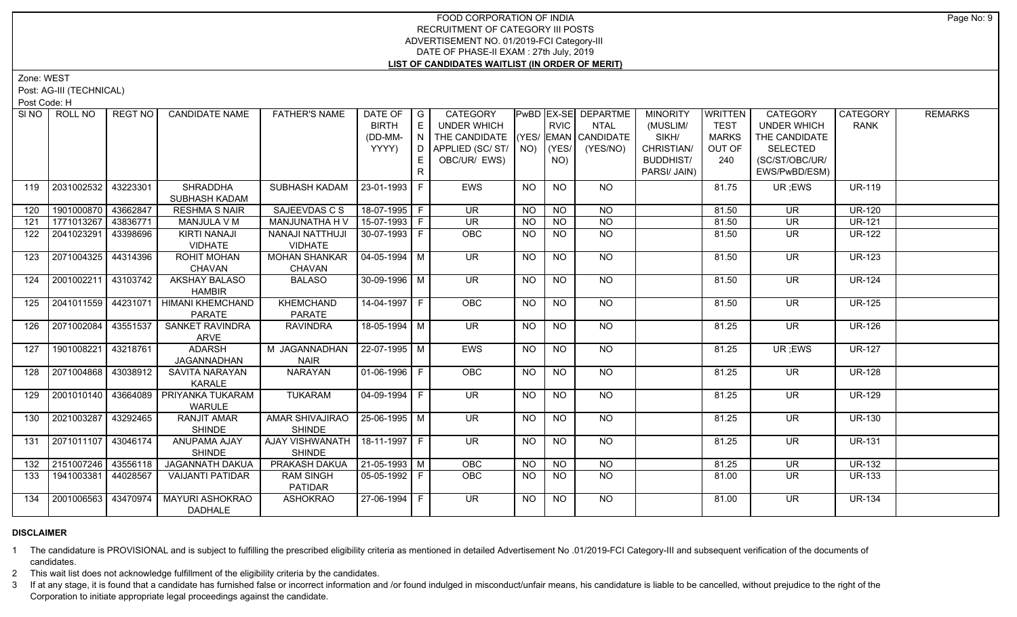Zone: WEST

Post: AG-III (TECHNICAL)

Post Code: H

|     | SI NO FROLL NO      | REGT NO  | <b>CANDIDATE NAME</b>                          | <b>FATHER'S NAME</b>                              | DATE OF $ G $<br><b>BIRTH</b><br>(DD-MM-<br>YYYY) | E<br>I N<br>D.<br>E.<br>R. | <b>CATEGORY</b><br><b>UNDER WHICH</b><br>THE CANDIDATE (YES/ EMAN CANDIDATE<br>APPLIED (SC/ ST/   NO)   (YES/<br>OBC/UR/ EWS) |           | <b>RVIC</b><br>NO) | PwBD EX-SE DEPARTME<br><b>NTAL</b><br>(YES/NO) | <b>MINORITY</b><br>(MUSLIM/<br>SIKH/<br>CHRISTIAN/<br><b>BUDDHIST/</b><br>PARSI/ JAIN) | WRITTEN<br><b>TEST</b><br><b>MARKS</b><br>OUT OF<br>240 | CATEGORY<br><b>UNDER WHICH</b><br>THE CANDIDATE<br><b>SELECTED</b><br>(SC/ST/OBC/UR/<br>EWS/PwBD/ESM) | <b>CATEGORY</b><br><b>RANK</b> | <b>REMARKS</b> |
|-----|---------------------|----------|------------------------------------------------|---------------------------------------------------|---------------------------------------------------|----------------------------|-------------------------------------------------------------------------------------------------------------------------------|-----------|--------------------|------------------------------------------------|----------------------------------------------------------------------------------------|---------------------------------------------------------|-------------------------------------------------------------------------------------------------------|--------------------------------|----------------|
| 119 | 2031002532          | 43223301 | SHRADDHA<br>SUBHASH KADAM                      | SUBHASH KADAM                                     | 23-01-1993   F                                    |                            | <b>EWS</b>                                                                                                                    | NO.       | <b>NO</b>          | NO.                                            |                                                                                        | 81.75                                                   | UR ;EWS                                                                                               | <b>UR-119</b>                  |                |
| 120 | 1901000870          | 43662847 | <b>RESHMA S NAIR</b>                           | SAJEEVDAS C S                                     | 18-07-1995 F                                      |                            | <b>UR</b>                                                                                                                     | <b>NO</b> | <b>NO</b>          | NO                                             |                                                                                        | 81.50                                                   | <b>UR</b>                                                                                             | <b>UR-120</b>                  |                |
| 121 | 1771013267          | 43836771 | MANJULA V M                                    | MANJUNATHA H V                                    | $15-07-1993$ F                                    |                            | $\overline{\mathsf{UR}}$                                                                                                      | <b>NO</b> | <b>NO</b>          | N <sub>O</sub>                                 |                                                                                        | 81.50                                                   | <b>UR</b>                                                                                             | $UR-121$                       |                |
| 122 | 2041023291          | 43398696 | <b>KIRTI NANAJI</b><br><b>VIDHATE</b>          | <b>NANAJI NATTHUJI</b><br><b>VIDHATE</b>          | $30-07-1993$ F                                    |                            | OBC                                                                                                                           | <b>NO</b> | <b>NO</b>          | <b>NO</b>                                      |                                                                                        | 81.50                                                   | <b>UR</b>                                                                                             | <b>UR-122</b>                  |                |
| 123 | 2071004325          | 44314396 | <b>ROHIT MOHAN</b><br><b>CHAVAN</b>            | <b>MOHAN SHANKAR</b><br><b>CHAVAN</b>             | $ 04-05-1994 M$                                   |                            | $\overline{\mathsf{UR}}$                                                                                                      | <b>NO</b> | $\overline{NO}$    | NO                                             |                                                                                        | 81.50                                                   | <b>UR</b>                                                                                             | <b>UR-123</b>                  |                |
| 124 | 2001002211          | 43103742 | AKSHAY BALASO<br><b>HAMBIR</b>                 | <b>BALASO</b>                                     | 30-09-1996 M                                      |                            | $\overline{\mathsf{UR}}$                                                                                                      | <b>NO</b> | <b>NO</b>          | NO.                                            |                                                                                        | 81.50                                                   | UR.                                                                                                   | <b>UR-124</b>                  |                |
| 125 |                     |          | 2041011559 44231071 HIMANI KHEMCHAND<br>PARATE | <b>KHEMCHAND</b><br>PARATE                        | 14-04-1997 F                                      |                            | <b>OBC</b>                                                                                                                    | <b>NO</b> | NO                 | NO.                                            |                                                                                        | 81.50                                                   | UR.                                                                                                   | <b>UR-125</b>                  |                |
| 126 | 2071002084          | 43551537 | SANKET RAVINDRA<br>ARVE                        | <b>RAVINDRA</b>                                   | 18-05-1994 M                                      |                            | $\overline{\mathsf{UR}}$                                                                                                      | <b>NO</b> | NO                 | NO.                                            |                                                                                        | 81.25                                                   | UR.                                                                                                   | <b>UR-126</b>                  |                |
| 127 | 1901008221          | 43218761 | <b>ADARSH</b><br>JAGANNADHAN                   | M JAGANNADHAN<br><b>NAIR</b>                      | 22-07-1995 M                                      |                            | EWS                                                                                                                           | <b>NO</b> | <b>NO</b>          | NO                                             |                                                                                        | 81.25                                                   | UR; EWS                                                                                               | <b>UR-127</b>                  |                |
| 128 | 2071004868          | 43038912 | SAVITA NARAYAN<br><b>KARALE</b>                | NARAYAN                                           | 01-06-1996 F                                      |                            | <b>OBC</b>                                                                                                                    | <b>NO</b> | NO                 | NO.                                            |                                                                                        | 81.25                                                   | UR.                                                                                                   | <b>UR-128</b>                  |                |
| 129 | 2001010140          | 43664089 | PRIYANKA TUKARAM<br><b>WARULE</b>              | <b>TUKARAM</b>                                    | 04-09-1994   F                                    |                            | UR.                                                                                                                           | <b>NO</b> | NO.                | NO.                                            |                                                                                        | 81.25                                                   | <b>UR</b>                                                                                             | <b>UR-129</b>                  |                |
| 130 | 2021003287          | 43292465 | <b>RANJIT AMAR</b><br><b>SHINDE</b>            | AMAR SHIVAJIRAO<br><b>SHINDE</b>                  | $25-06-1995$ M                                    |                            | $\overline{\mathsf{UR}}$                                                                                                      | <b>NO</b> | $N$ O              | NO                                             |                                                                                        | 81.25                                                   | <b>UR</b>                                                                                             | <b>UR-130</b>                  |                |
| 131 | 2071011107          | 43046174 | <b>ANUPAMA AJAY</b><br><b>SHINDE</b>           | AJAY VISHWANATH   18-11-1997   F<br><b>SHINDE</b> |                                                   |                            | $\overline{\mathsf{UR}}$                                                                                                      | <b>NO</b> | N <sub>O</sub>     | NO                                             |                                                                                        | 81.25                                                   | $\overline{\mathsf{UR}}$                                                                              | <b>UR-131</b>                  |                |
| 132 | 2151007246 43556118 |          | <b>JAGANNATH DAKUA</b>                         | PRAKASH DAKUA                                     | $21-05-1993$ M                                    |                            | OBC                                                                                                                           | <b>NO</b> | <b>NO</b>          | <b>NO</b>                                      |                                                                                        | 81.25                                                   | <b>UR</b>                                                                                             | <b>UR-132</b>                  |                |
| 133 | 1941003381          | 44028567 | <b>VAIJANTI PATIDAR</b>                        | <b>RAM SINGH</b><br>PATIDAR                       | 05-05-1992   F                                    |                            | <b>OBC</b>                                                                                                                    | NO.       | NO.                | NO.                                            |                                                                                        | 81.00                                                   | UR.                                                                                                   | <b>UR-133</b>                  |                |
| 134 | 2001006563          | 43470974 | <b>MAYURI ASHOKRAO</b><br><b>DADHALE</b>       | <b>ASHOKRAO</b>                                   | 27-06-1994 F                                      |                            | $\overline{\mathsf{UR}}$                                                                                                      | <b>NO</b> | <b>NO</b>          | NO                                             |                                                                                        | 81.00                                                   | <b>UR</b>                                                                                             | <b>UR-134</b>                  |                |

# **DISCLAIMER**

1 The candidature is PROVISIONAL and is subject to fulfilling the prescribed eligibility criteria as mentioned in detailed Advertisement No .01/2019-FCI Category-III and subsequent verification of the documents of candidates.

2 This wait list does not acknowledge fulfillment of the eligibility criteria by the candidates.

3 If at any stage, it is found that a candidate has furnished false or incorrect information and /or found indulged in misconduct/unfair means, his candidature is liable to be cancelled, without prejudice to the right of t Corporation to initiate appropriate legal proceedings against the candidate.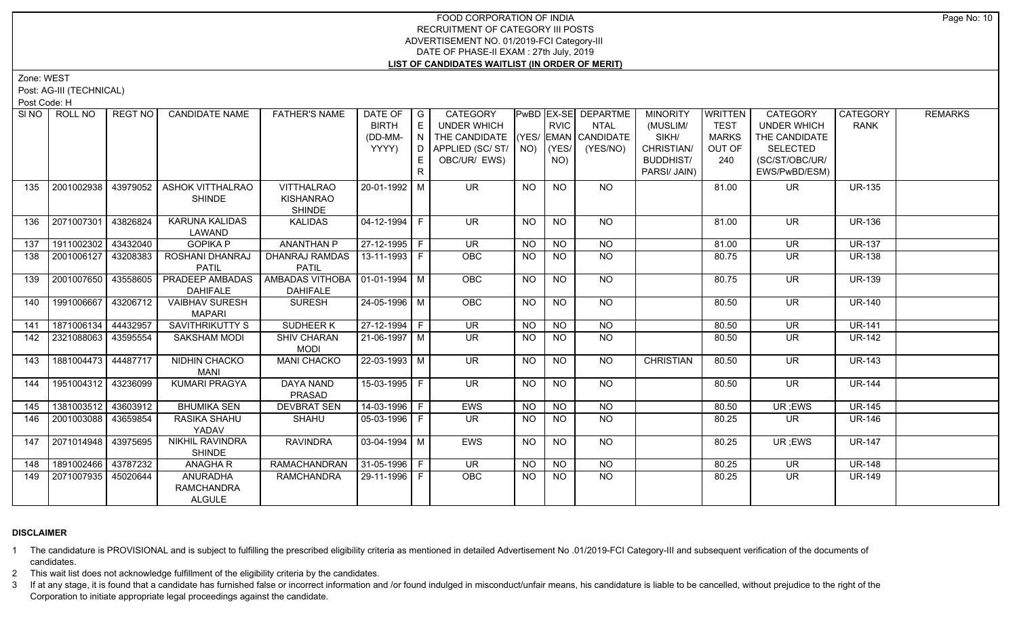Zone: WEST

Post: AG-III (TECHNICAL)

Post Code: H

|     | SINO ROLL NO          | REGT NO  | <b>CANDIDATE NAME</b>  | <b>FATHER'S NAME</b>             | DATE OF   G        |     | CATEGORY                           |                 |                | PwBD EX-SE DEPARTME | <b>MINORITY</b>  | <b>WRITTEN</b> | <b>CATEGORY</b>          | CATEGORY      | <b>REMARKS</b> |
|-----|-----------------------|----------|------------------------|----------------------------------|--------------------|-----|------------------------------------|-----------------|----------------|---------------------|------------------|----------------|--------------------------|---------------|----------------|
|     |                       |          |                        |                                  | <b>BIRTH</b>       |     | UNDER WHICH                        |                 | <b>RVIC</b>    | <b>NTAL</b>         | (MUSLIM/         | <b>TEST</b>    | <b>UNDER WHICH</b>       | <b>RANK</b>   |                |
|     |                       |          |                        |                                  | (DD-MM-            | N I | THE CANDIDATE (YES/ EMAN CANDIDATE |                 |                |                     | SIKH/            | <b>MARKS</b>   | THE CANDIDATE            |               |                |
|     |                       |          |                        |                                  | YYYY)              | D I | APPLIED (SC/ ST/   NO)             |                 | YES/           | (YES/NO)            | CHRISTIAN/       | OUT OF         | <b>SELECTED</b>          |               |                |
|     |                       |          |                        |                                  |                    |     | OBC/UR/ EWS)                       |                 | NO)            |                     | <b>BUDDHIST/</b> | 240            | (SC/ST/OBC/UR/           |               |                |
|     |                       |          |                        |                                  |                    | R.  |                                    |                 |                |                     | PARSI/ JAIN)     |                | EWS/PwBD/ESM)            |               |                |
| 135 | 2001002938            | 43979052 | ASHOK VITTHALRAO       | <b>VITTHALRAO</b>                | 20-01-1992 M       |     | <b>UR</b>                          | <b>NO</b>       | <b>NO</b>      | NO                  |                  | 81.00          | <b>UR</b>                | <b>UR-135</b> |                |
|     |                       |          | <b>SHINDE</b>          | <b>KISHANRAO</b>                 |                    |     |                                    |                 |                |                     |                  |                |                          |               |                |
|     |                       |          |                        | <b>SHINDE</b>                    |                    |     |                                    |                 |                |                     |                  |                |                          |               |                |
| 136 | 2071007301            | 43826824 | <b>KARUNA KALIDAS</b>  | <b>KALIDAS</b>                   | $04 - 12 - 1994$ F |     | UR.                                | NO              | <b>NO</b>      | NO                  |                  | 81.00          | <b>UR</b>                | <b>UR-136</b> |                |
|     |                       |          | LAWAND                 |                                  |                    |     |                                    |                 |                |                     |                  |                |                          |               |                |
| 137 | 1911002302            | 43432040 | <b>GOPIKA P</b>        | <b>ANANTHAN P</b>                | 27-12-1995 F       |     | $\overline{\mathsf{UR}}$           | <b>NO</b>       | <b>NO</b>      | <b>NO</b>           |                  | 81.00          | <b>UR</b>                | <b>UR-137</b> |                |
| 138 | 2001006127            | 43208383 | ROSHANI DHANRAJ        | DHANRAJ RAMDAS                   | 13-11-1993 F       |     | OBC                                | NO.             | <b>NO</b>      | NO                  |                  | 80.75          | UR                       | <b>UR-138</b> |                |
|     |                       |          | <b>PATIL</b>           | <b>PATIL</b>                     |                    |     |                                    |                 |                |                     |                  |                |                          |               |                |
| 139 | 2001007650            | 43558605 | PRADEEP AMBADAS        | AMBADAS VITHOBA   01-01-1994   M |                    |     | OBC                                | NO              | <b>NO</b>      | NO                  |                  | 80.75          | <b>UR</b>                | <b>UR-139</b> |                |
|     |                       |          | <b>DAHIFALE</b>        | <b>DAHIFALE</b>                  |                    |     |                                    |                 |                |                     |                  |                |                          |               |                |
| 140 | 1991006667            | 43206712 | <b>VAIBHAV SURESH</b>  | <b>SURESH</b>                    | $24 - 05 - 1996$ M |     | OBC                                | <b>NO</b>       | <b>NO</b>      | $N$ <sup>O</sup>    |                  | 80.50          | <b>UR</b>                | <b>UR-140</b> |                |
|     |                       |          | <b>MAPARI</b>          |                                  |                    |     |                                    |                 |                |                     |                  |                |                          |               |                |
| 141 | 1871006134            | 44432957 | <b>SAVITHRIKUTTY S</b> | <b>SUDHEER K</b>                 | $27-12-1994$ F     |     | $\overline{\mathsf{UR}}$           | $\overline{NO}$ | N <sub>O</sub> | N <sub>O</sub>      |                  | 80.50          | $\overline{\mathsf{UR}}$ | <b>UR-141</b> |                |
| 142 | 2321088063            | 43595554 | SAKSHAM MODI           | <b>SHIV CHARAN</b>               | 21-06-1997   M     |     | UR                                 | NO.             | <b>NO</b>      | NO                  |                  | 80.50          | UR                       | <b>UR-142</b> |                |
|     |                       |          |                        | <b>MODI</b>                      |                    |     |                                    |                 |                |                     |                  |                |                          |               |                |
| 143 | 1881004473 44487717   |          | NIDHIN CHACKO          | <b>MANI CHACKO</b>               | $22 - 03 - 1993$ M |     | UR                                 | NO.             | <b>NO</b>      | <b>NO</b>           | <b>CHRISTIAN</b> | 80.50          | <b>UR</b>                | <b>UR-143</b> |                |
|     |                       |          | <b>MANI</b>            |                                  |                    |     |                                    |                 |                |                     |                  |                |                          |               |                |
| 144 | 1951004312 43236099   |          | <b>KUMARI PRAGYA</b>   | <b>DAYA NAND</b>                 | $15-03-1995$ F     |     | <b>UR</b>                          | <b>NO</b>       | <b>NO</b>      | NO                  |                  | 80.50          | <b>UR</b>                | <b>UR-144</b> |                |
|     |                       |          |                        | PRASAD                           |                    |     |                                    |                 |                |                     |                  |                |                          |               |                |
| 145 | 1381003512 43603912   |          | <b>BHUMIKA SEN</b>     | <b>DEVBRAT SEN</b>               | 14-03-1996   F     |     | EWS                                | <b>NO</b>       | <b>NO</b>      | <b>NO</b>           |                  | 80.50          | UR; EWS                  | <b>UR-145</b> |                |
| 146 | 2001003088            | 43659854 | RASIKA SHAHU           | <b>SHAHU</b>                     | 05-03-1996 F       |     | <b>UR</b>                          | NO.             | <b>NO</b>      | <b>NO</b>           |                  | 80.25          | UR.                      | <b>UR-146</b> |                |
|     |                       |          | YADAV                  |                                  |                    |     |                                    |                 |                |                     |                  |                |                          |               |                |
| 147 | 2071014948   43975695 |          | <b>NIKHIL RAVINDRA</b> | <b>RAVINDRA</b>                  | $03-04-1994$ M     |     | <b>EWS</b>                         | NO              | <b>NO</b>      | NO                  |                  | 80.25          | UR ;EWS                  | <b>UR-147</b> |                |
|     |                       |          | <b>SHINDE</b>          |                                  |                    |     |                                    |                 |                |                     |                  |                |                          |               |                |
| 148 | 1891002466   43787232 |          | <b>ANAGHAR</b>         | <b>RAMACHANDRAN</b>              | $ 31-05-1996 F$    |     | <b>UR</b>                          | <b>NO</b>       | <b>NO</b>      | <b>NO</b>           |                  | 80.25          | <b>UR</b>                | <b>UR-148</b> |                |
| 149 | 2071007935            | 45020644 | ANURADHA               | <b>RAMCHANDRA</b>                | 29-11-1996 F       |     | OBC                                | NO.             | <b>NO</b>      | N <sub>O</sub>      |                  | 80.25          | UR.                      | <b>UR-149</b> |                |
|     |                       |          | <b>RAMCHANDRA</b>      |                                  |                    |     |                                    |                 |                |                     |                  |                |                          |               |                |
|     |                       |          | <b>ALGULE</b>          |                                  |                    |     |                                    |                 |                |                     |                  |                |                          |               |                |

# **DISCLAIMER**

1 The candidature is PROVISIONAL and is subject to fulfilling the prescribed eligibility criteria as mentioned in detailed Advertisement No .01/2019-FCI Category-III and subsequent verification of the documents of candidates.

2 This wait list does not acknowledge fulfillment of the eligibility criteria by the candidates.

3 If at any stage, it is found that a candidate has furnished false or incorrect information and /or found indulged in misconduct/unfair means, his candidature is liable to be cancelled, without prejudice to the right of t Corporation to initiate appropriate legal proceedings against the candidate.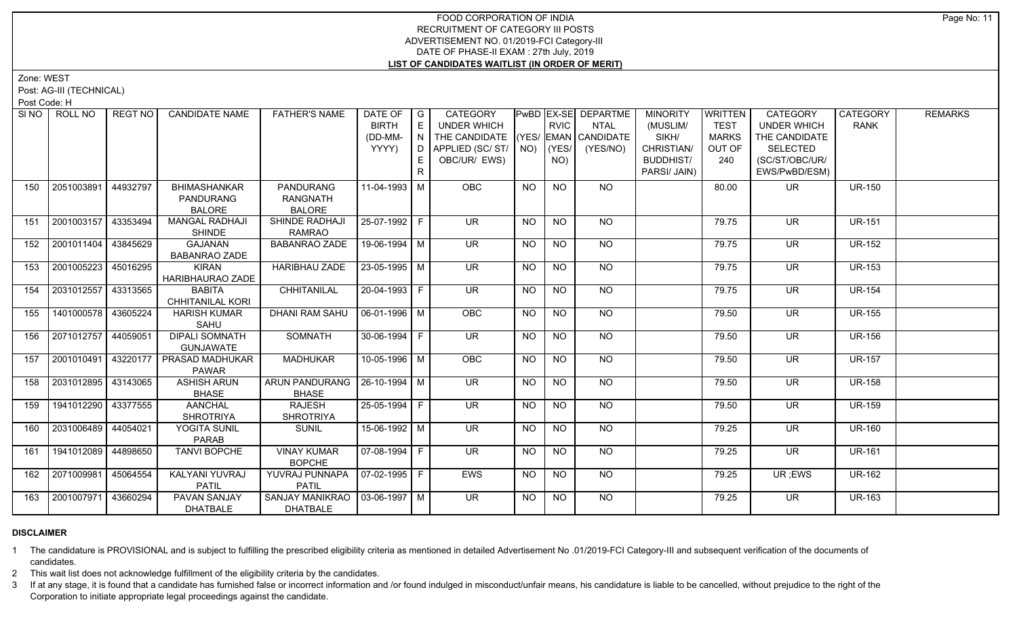Zone: WEST

Post: AG-III (TECHNICAL)

Post Code: H

| SI <sub>NO</sub> | ROLL NO             | <b>REGT NO</b> | <b>CANDIDATE NAME</b>   | <b>FATHER'S NAME</b>             | DATE OF G             |    | CATEGORY                           |           |             | PwBD EX-SE DEPARTME | <b>MINORITY</b>  | WRITTEN      | CATEGORY                 | CATEGORY      | <b>REMARKS</b> |
|------------------|---------------------|----------------|-------------------------|----------------------------------|-----------------------|----|------------------------------------|-----------|-------------|---------------------|------------------|--------------|--------------------------|---------------|----------------|
|                  |                     |                |                         |                                  | <b>BIRTH</b>          | E  | UNDER WHICH                        |           | <b>RVIC</b> | NTAL                | (MUSLIM/         | <b>TEST</b>  | <b>UNDER WHICH</b>       | <b>RANK</b>   |                |
|                  |                     |                |                         |                                  | (DD-MM-               | N  | THE CANDIDATE (YES/ EMAN CANDIDATE |           |             |                     | SIKH/            | <b>MARKS</b> | THE CANDIDATE            |               |                |
|                  |                     |                |                         |                                  | YYYY)                 |    | $D$ APPLIED (SC/ST/ $N$ O)         |           | (YES/       | (YES/NO)            | CHRISTIAN/       | OUT OF       | <b>SELECTED</b>          |               |                |
|                  |                     |                |                         |                                  |                       |    | OBC/UR/ EWS)                       |           | NO)         |                     | <b>BUDDHIST/</b> | 240          | (SC/ST/OBC/UR/           |               |                |
|                  |                     |                |                         |                                  |                       | R. |                                    |           |             |                     | PARSI/ JAIN)     |              | EWS/PwBD/ESM)            |               |                |
| 150              | 2051003891          | 44932797       | <b>BHIMASHANKAR</b>     | <b>PANDURANG</b>                 | 11-04-1993 M          |    | <b>OBC</b>                         | NO.       | <b>NO</b>   | NO.                 |                  | 80.00        | UR.                      | <b>UR-150</b> |                |
|                  |                     |                | <b>PANDURANG</b>        | <b>RANGNATH</b>                  |                       |    |                                    |           |             |                     |                  |              |                          |               |                |
|                  |                     |                | <b>BALORE</b>           | <b>BALORE</b>                    |                       |    |                                    |           |             |                     |                  |              |                          |               |                |
| 151              | 2001003157          | 43353494       | <b>MANGAL RADHAJI</b>   | SHINDE RADHAJI                   | 25-07-1992 F          |    | $\overline{\mathsf{UR}}$           | NO.       | <b>NO</b>   | NO                  |                  | 79.75        | UR.                      | <b>UR-151</b> |                |
|                  |                     |                | <b>SHINDE</b>           | <b>RAMRAO</b>                    |                       |    |                                    |           |             |                     |                  |              |                          |               |                |
| 152              | 2001011404 43845629 |                | <b>GAJANAN</b>          | <b>BABANRAO ZADE</b>             | 19-06-1994 M          |    | $\overline{\mathsf{UR}}$           | <b>NO</b> | <b>NO</b>   | $N$ <sup>O</sup>    |                  | 79.75        | <b>UR</b>                | <b>UR-152</b> |                |
|                  |                     |                | <b>BABANRAO ZADE</b>    |                                  |                       |    |                                    |           |             |                     |                  |              |                          |               |                |
| 153              | 2001005223 45016295 |                | <b>KIRAN</b>            | <b>HARIBHAU ZADE</b>             | 23-05-1995   M        |    | <b>UR</b>                          | <b>NO</b> | <b>NO</b>   | NO                  |                  | 79.75        | <b>UR</b>                | <b>UR-153</b> |                |
|                  |                     |                | HARIBHAURAO ZADE        |                                  |                       |    |                                    |           |             |                     |                  |              |                          |               |                |
| 154              | 2031012557 43313565 |                | <b>BABITA</b>           | CHHITANILAL                      | 20-04-1993 F          |    | UR.                                | NO.       | <b>NO</b>   | NO                  |                  | 79.75        | <b>UR</b>                | <b>UR-154</b> |                |
|                  |                     |                | <b>CHHITANILAL KORI</b> |                                  |                       |    |                                    |           |             |                     |                  |              |                          |               |                |
| 155              | 1401000578 43605224 |                | <b>HARISH KUMAR</b>     | <b>DHANI RAM SAHU</b>            | $\sqrt{06-01-1996}$ M |    | OBC                                | <b>NO</b> | <b>NO</b>   | $\overline{NO}$     |                  | 79.50        | UR.                      | <b>UR-155</b> |                |
|                  |                     |                | SAHU                    |                                  |                       |    |                                    |           |             |                     |                  |              |                          |               |                |
| 156              | 2071012757 44059051 |                | <b>DIPALI SOMNATH</b>   | <b>SOMNATH</b>                   | $30-06-1994$ F        |    | $\overline{\mathsf{UR}}$           | <b>NO</b> | <b>NO</b>   | $N$ <sup>O</sup>    |                  | 79.50        | $\overline{\mathsf{UR}}$ | <b>UR-156</b> |                |
|                  |                     |                | GUNJAWATE               |                                  |                       |    |                                    |           |             |                     |                  |              |                          |               |                |
| 157              | 2001010491 43220177 |                | PRASAD MADHUKAR         | <b>MADHUKAR</b>                  | $10-05-1996$ M        |    | OBC                                | <b>NO</b> | <b>NO</b>   | <b>NO</b>           |                  | 79.50        | <b>UR</b>                | <b>UR-157</b> |                |
|                  |                     |                | <b>PAWAR</b>            |                                  |                       |    |                                    |           |             |                     |                  |              |                          |               |                |
| 158              | 2031012895 43143065 |                | <b>ASHISH ARUN</b>      | ARUN PANDURANG   26-10-1994   M  |                       |    | UR.                                | <b>NO</b> | <b>NO</b>   | <b>NO</b>           |                  | 79.50        | <b>UR</b>                | <b>UR-158</b> |                |
|                  |                     |                | <b>BHASE</b>            | <b>BHASE</b>                     |                       |    |                                    |           |             |                     |                  |              |                          |               |                |
| 159              | 1941012290 43377555 |                | <b>AANCHAL</b>          | <b>RAJESH</b>                    | 25-05-1994 F          |    | $\overline{\mathsf{UR}}$           | <b>NO</b> | <b>NO</b>   | NO                  |                  | 79.50        | UR.                      | <b>UR-159</b> |                |
|                  |                     |                | <b>SHROTRIYA</b>        | <b>SHROTRIYA</b>                 |                       |    |                                    |           |             |                     |                  |              |                          |               |                |
| 160              | 2031006489 44054021 |                | <b>YOGITA SUNIL</b>     | <b>SUNIL</b>                     | 15-06-1992 M          |    | $\overline{\mathsf{UR}}$           | <b>NO</b> | <b>NO</b>   | $\overline{NO}$     |                  | 79.25        | $\overline{\mathsf{UR}}$ | <b>UR-160</b> |                |
|                  |                     |                | PARAB                   |                                  |                       |    |                                    |           |             |                     |                  |              |                          |               |                |
| 161              | 1941012089 44898650 |                | <b>TANVI BOPCHE</b>     | <b>VINAY KUMAR</b>               | 07-08-1994   F        |    | <b>UR</b>                          | <b>NO</b> | <b>NO</b>   | NO                  |                  | 79.25        | UR.                      | <b>UR-161</b> |                |
|                  |                     |                |                         | <b>BOPCHE</b>                    |                       |    |                                    |           |             |                     |                  |              |                          |               |                |
| 162              | 2071009981 45064554 |                | <b>KALYANI YUVRAJ</b>   | YUVRAJ PUNNAPA   07-02-1995   F  |                       |    | <b>EWS</b>                         | NO        | NO          | $N$ <sup>O</sup>    |                  | 79.25        | UR; EWS                  | <b>UR-162</b> |                |
|                  |                     |                | <b>PATIL</b>            | <b>PATIL</b>                     |                       |    |                                    |           |             |                     |                  |              |                          |               |                |
| 163              | 2001007971 43660294 |                | <b>PAVAN SANJAY</b>     | SANJAY MANIKRAO   03-06-1997   M |                       |    | <b>UR</b>                          | <b>NO</b> | <b>NO</b>   | NO                  |                  | 79.25        | UR.                      | <b>UR-163</b> |                |
|                  |                     |                | <b>DHATBALE</b>         | <b>DHATBALE</b>                  |                       |    |                                    |           |             |                     |                  |              |                          |               |                |

# **DISCLAIMER**

1 The candidature is PROVISIONAL and is subject to fulfilling the prescribed eligibility criteria as mentioned in detailed Advertisement No .01/2019-FCI Category-III and subsequent verification of the documents of candidates.

2 This wait list does not acknowledge fulfillment of the eligibility criteria by the candidates.

3 If at any stage, it is found that a candidate has furnished false or incorrect information and /or found indulged in misconduct/unfair means, his candidature is liable to be cancelled, without prejudice to the right of t Corporation to initiate appropriate legal proceedings against the candidate.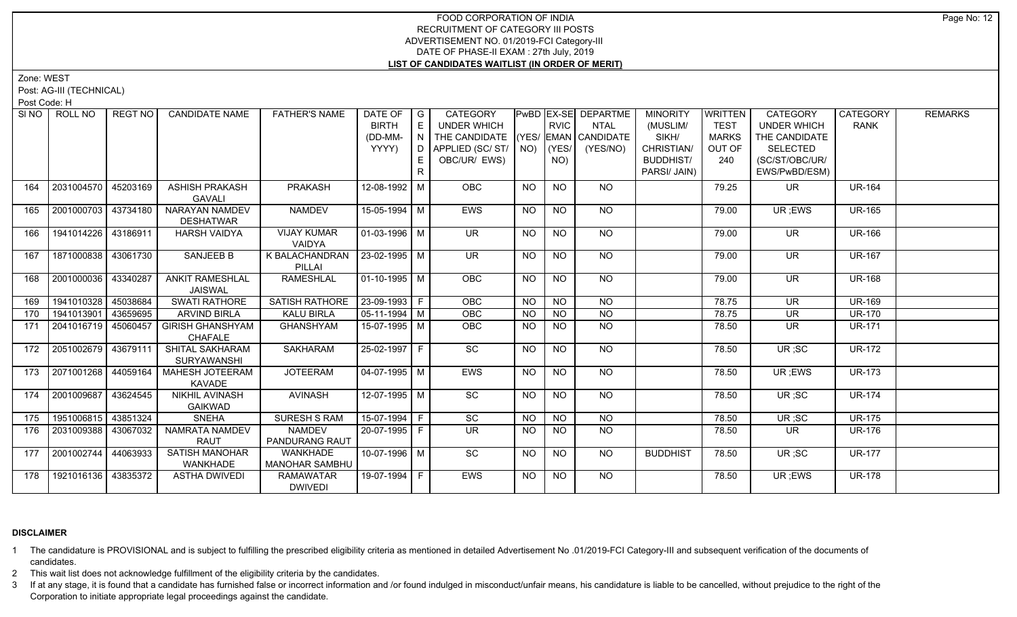Zone: WEST

Post: AG-III (TECHNICAL)

Post Code: H

|     | SINO ROLL NO          | REGT NO  | <b>CANDIDATE NAME</b>                    | <b>FATHER'S NAME</b>            | DATE OF                | G   | CATEGORY                           |           |                | PwBD EX-SE DEPARTME | <b>MINORITY</b>  | <b>WRITTEN</b> | <b>CATEGORY</b>          | <b>CATEGORY</b> | <b>REMARKS</b> |
|-----|-----------------------|----------|------------------------------------------|---------------------------------|------------------------|-----|------------------------------------|-----------|----------------|---------------------|------------------|----------------|--------------------------|-----------------|----------------|
|     |                       |          |                                          |                                 | <b>BIRTH</b>           |     | <b>UNDER WHICH</b>                 |           | <b>RVIC</b>    | <b>NTAL</b>         | (MUSLIM/         | <b>TEST</b>    | <b>UNDER WHICH</b>       | <b>RANK</b>     |                |
|     |                       |          |                                          |                                 | (DD-MM-                | N   | THE CANDIDATE (YES/ EMAN CANDIDATE |           |                |                     | SIKH/            | <b>MARKS</b>   | THE CANDIDATE            |                 |                |
|     |                       |          |                                          |                                 | YYYY)                  | D I | APPLIED (SC/ ST/                   | NO)       | YES/           | (YES/NO)            | CHRISTIAN/       | OUT OF         | SELECTED                 |                 |                |
|     |                       |          |                                          |                                 |                        |     | OBC/UR/ EWS)                       |           | NO)            |                     | <b>BUDDHIST/</b> | 240            | (SC/ST/OBC/UR/           |                 |                |
|     |                       |          |                                          |                                 |                        | R.  |                                    |           |                |                     | PARSI/ JAIN)     |                | EWS/PwBD/ESM)            |                 |                |
| 164 | 2031004570            | 45203169 | <b>ASHISH PRAKASH</b>                    | PRAKASH                         | 12-08-1992 M           |     | OBC                                | <b>NO</b> | <b>NO</b>      | <b>NO</b>           |                  | 79.25          | <b>UR</b>                | <b>UR-164</b>   |                |
|     |                       |          | <b>GAVALI</b>                            |                                 |                        |     |                                    |           |                |                     |                  |                |                          |                 |                |
| 165 | 2001000703            | 43734180 | <b>NARAYAN NAMDEV</b>                    | <b>NAMDEV</b>                   | 15-05-1994 M           |     | <b>EWS</b>                         | <b>NO</b> | <b>NO</b>      | <b>NO</b>           |                  | 79.00          | UR; EWS                  | <b>UR-165</b>   |                |
|     |                       |          | <b>DESHATWAR</b>                         |                                 |                        |     |                                    |           |                |                     |                  |                |                          |                 |                |
| 166 | 1941014226 43186911   |          | <b>HARSH VAIDYA</b>                      | <b>VIJAY KUMAR</b>              | $\boxed{01-03-1996}$ M |     | UR                                 | NO.       | <b>NO</b>      | $N$ <sup>O</sup>    |                  | 79.00          | UR.                      | <b>UR-166</b>   |                |
|     |                       |          |                                          | VAIDYA                          |                        |     |                                    |           |                |                     |                  |                |                          |                 |                |
| 167 | 1871000838            | 43061730 | <b>SANJEEB B</b>                         | K BALACHANDRAN   23-02-1995   M |                        |     | UR.                                | NO.       | <b>NO</b>      | NO                  |                  | 79.00          | <b>UR</b>                | <b>UR-167</b>   |                |
|     |                       |          |                                          | PILLAI                          |                        |     |                                    |           |                |                     |                  |                |                          |                 |                |
| 168 | 2001000036            | 43340287 | <b>ANKIT RAMESHLAL</b><br><b>JAISWAL</b> | <b>RAMESHLAL</b>                | $01-10-1995$ M         |     | OBC                                | <b>NO</b> | N <sub>O</sub> | $N$ O               |                  | 79.00          | $\overline{\mathsf{UR}}$ | <b>UR-168</b>   |                |
| 169 | 1941010328            | 45038684 | <b>SWATI RATHORE</b>                     | SATISH RATHORE                  | 23-09-1993 F           |     | OBC                                | <b>NO</b> | NO             | <b>NO</b>           |                  | 78.75          | <b>UR</b>                | <b>UR-169</b>   |                |
| 170 | 1941013901            | 43659695 | <b>ARVIND BIRLA</b>                      | <b>KALU BIRLA</b>               | $05-11-1994$ M         |     | OBC                                | <b>NO</b> | N <sub>O</sub> | $N$ O               |                  | 78.75          | <b>UR</b>                | <b>UR-170</b>   |                |
| 171 | 2041016719            | 45060457 | <b>GIRISH GHANSHYAM</b>                  | <b>GHANSHYAM</b>                | 15-07-1995 M           |     | <b>OBC</b>                         | <b>NO</b> | <b>NO</b>      | <b>NO</b>           |                  | 78.50          | UR                       | <b>UR-171</b>   |                |
|     |                       |          | CHAFALE                                  |                                 |                        |     |                                    |           |                |                     |                  |                |                          |                 |                |
| 172 | 2051002679            | 43679111 | SHITAL SAKHARAM                          | <b>SAKHARAM</b>                 | 25-02-1997 F           |     | SC                                 | <b>NO</b> | <b>NO</b>      | <b>NO</b>           |                  | 78.50          | UR;SC                    | <b>UR-172</b>   |                |
|     |                       |          | <b>SURYAWANSHI</b>                       |                                 |                        |     |                                    |           |                |                     |                  |                |                          |                 |                |
| 173 | 2071001268            | 44059164 | <b>MAHESH JOTEERAM</b><br>KAVADE         | <b>JOTEERAM</b>                 | $04-07-1995$ M         |     | EWS                                | NO.       | <b>NO</b>      | NO                  |                  | 78.50          | UR; EWS                  | <b>UR-173</b>   |                |
| 174 | 2001009687            | 43624545 | <b>NIKHIL AVINASH</b>                    | <b>AVINASH</b>                  | 12-07-1995 M           |     | SC                                 | <b>NO</b> | <b>NO</b>      | NO                  |                  | 78.50          | UR; SC                   | <b>UR-174</b>   |                |
|     |                       |          | <b>GAIKWAD</b>                           |                                 |                        |     |                                    |           |                |                     |                  |                |                          |                 |                |
| 175 | 1951006815   43851324 |          | <b>SNEHA</b>                             | <b>SURESH S RAM</b>             | 15-07-1994 F           |     | SC                                 | <b>NO</b> | <b>NO</b>      | NO                  |                  | 78.50          | UR;SC                    | <b>UR-175</b>   |                |
| 176 | 2031009388            | 43067032 | NAMRATA NAMDEV                           | <b>NAMDEV</b>                   | 20-07-1995 F           |     | <b>UR</b>                          | NO.       | NO.            | NO.                 |                  | 78.50          | UR.                      | <b>UR-176</b>   |                |
|     |                       |          | <b>RAUT</b>                              | <b>PANDURANG RAUT</b>           |                        |     |                                    |           |                |                     |                  |                |                          |                 |                |
| 177 | 2001002744            | 44063933 | <b>SATISH MANOHAR</b>                    | <b>WANKHADE</b>                 | 10-07-1996   M         |     | SC                                 | <b>NO</b> | <b>NO</b>      | <b>NO</b>           | <b>BUDDHIST</b>  | 78.50          | UR;SC                    | <b>UR-177</b>   |                |
|     |                       |          | WANKHADE                                 | <b>MANOHAR SAMBHU</b>           |                        |     |                                    |           |                |                     |                  |                |                          |                 |                |
| 178 | 1921016136 43835372   |          | <b>ASTHA DWIVEDI</b>                     | <b>RAMAWATAR</b>                | 19-07-1994 F           |     | EWS                                | <b>NO</b> | <b>NO</b>      | NO                  |                  | 78.50          | UR; EWS                  | <b>UR-178</b>   |                |
|     |                       |          |                                          | <b>DWIVEDI</b>                  |                        |     |                                    |           |                |                     |                  |                |                          |                 |                |

# **DISCLAIMER**

- 1 The candidature is PROVISIONAL and is subject to fulfilling the prescribed eligibility criteria as mentioned in detailed Advertisement No .01/2019-FCI Category-III and subsequent verification of the documents of candidates.
- 2 This wait list does not acknowledge fulfillment of the eligibility criteria by the candidates.
- 3 If at any stage, it is found that a candidate has furnished false or incorrect information and /or found indulged in misconduct/unfair means, his candidature is liable to be cancelled, without prejudice to the right of t Corporation to initiate appropriate legal proceedings against the candidate.